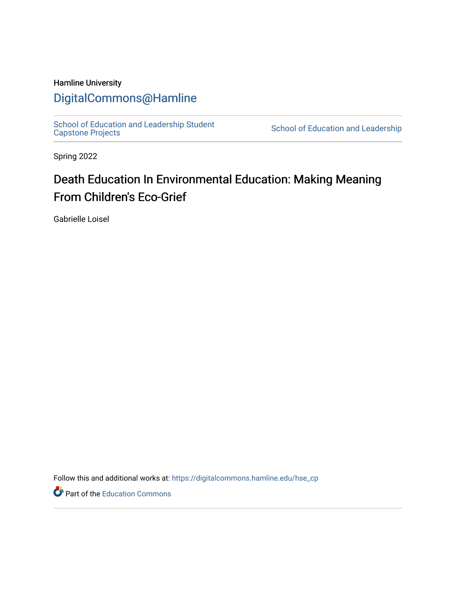# Hamline University

# [DigitalCommons@Hamline](https://digitalcommons.hamline.edu/)

[School of Education and Leadership Student](https://digitalcommons.hamline.edu/hse_cp)<br>Capstone Projects

School of Education and Leadership

Spring 2022

# Death Education In Environmental Education: Making Meaning From Children's Eco-Grief

Gabrielle Loisel

Follow this and additional works at: [https://digitalcommons.hamline.edu/hse\\_cp](https://digitalcommons.hamline.edu/hse_cp?utm_source=digitalcommons.hamline.edu%2Fhse_cp%2F804&utm_medium=PDF&utm_campaign=PDFCoverPages) 

Part of the [Education Commons](https://network.bepress.com/hgg/discipline/784?utm_source=digitalcommons.hamline.edu%2Fhse_cp%2F804&utm_medium=PDF&utm_campaign=PDFCoverPages)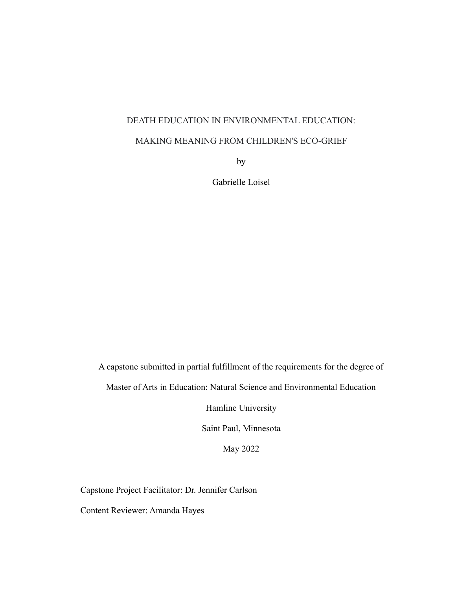# DEATH EDUCATION IN ENVIRONMENTAL EDUCATION:

# MAKING MEANING FROM CHILDREN'S ECO-GRIEF

by

Gabrielle Loisel

A capstone submitted in partial fulfillment of the requirements for the degree of

Master of Arts in Education: Natural Science and Environmental Education

Hamline University

Saint Paul, Minnesota

May 2022

Capstone Project Facilitator: Dr. Jennifer Carlson

Content Reviewer: Amanda Hayes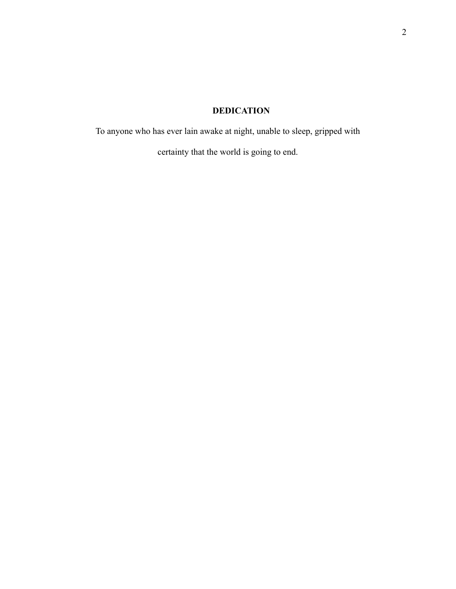# **DEDICATION**

<span id="page-2-0"></span>To anyone who has ever lain awake at night, unable to sleep, gripped with

certainty that the world is going to end.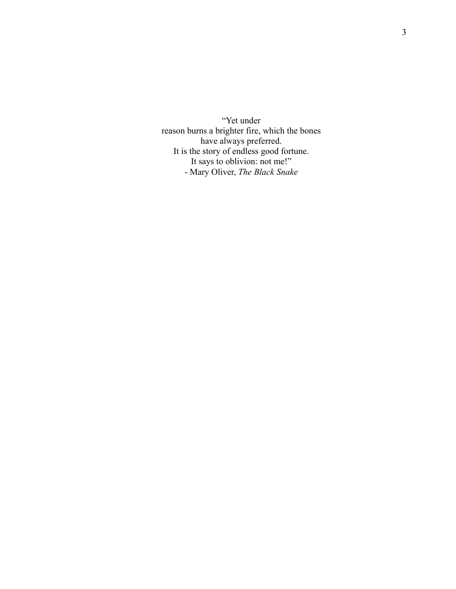<span id="page-3-0"></span>"Yet under reason burns a brighter fire, which the bones have always preferred. It is the story of endless good fortune. It says to oblivion: not me!" - Mary Oliver, *The Black Snake*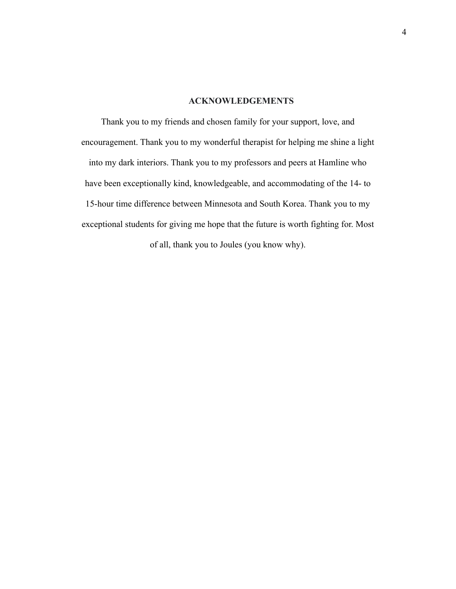# **ACKNOWLEDGEMENTS**

<span id="page-4-0"></span>Thank you to my friends and chosen family for your support, love, and encouragement. Thank you to my wonderful therapist for helping me shine a light into my dark interiors. Thank you to my professors and peers at Hamline who have been exceptionally kind, knowledgeable, and accommodating of the 14- to 15-hour time difference between Minnesota and South Korea. Thank you to my exceptional students for giving me hope that the future is worth fighting for. Most of all, thank you to Joules (you know why).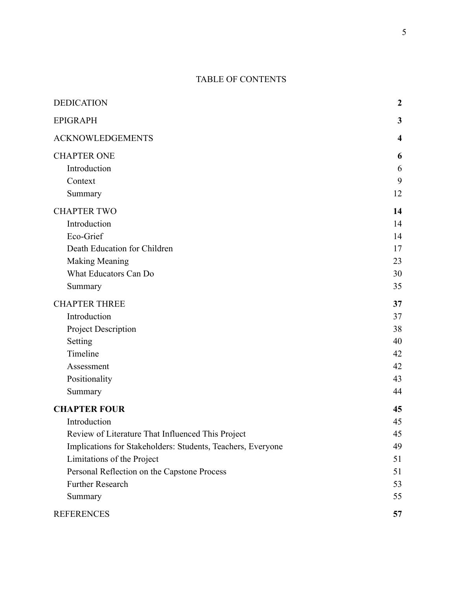# TABLE OF CONTENTS

| <b>DEDICATION</b>                                           | $\boldsymbol{2}$ |
|-------------------------------------------------------------|------------------|
| <b>EPIGRAPH</b>                                             | 3                |
| <b>ACKNOWLEDGEMENTS</b>                                     | $\boldsymbol{4}$ |
| <b>CHAPTER ONE</b>                                          | 6                |
| Introduction                                                | 6                |
| Context                                                     | 9                |
| Summary                                                     | 12               |
| <b>CHAPTER TWO</b>                                          | 14               |
| Introduction                                                | 14               |
| Eco-Grief                                                   | 14               |
| Death Education for Children                                | 17               |
| <b>Making Meaning</b>                                       | 23               |
| What Educators Can Do                                       | 30               |
| Summary                                                     | 35               |
| <b>CHAPTER THREE</b>                                        | 37               |
| Introduction                                                | 37               |
| Project Description                                         | 38               |
| Setting                                                     | 40               |
| Timeline                                                    | 42               |
| Assessment                                                  | 42               |
| Positionality                                               | 43               |
| Summary                                                     | 44               |
| <b>CHAPTER FOUR</b>                                         | 45               |
| Introduction                                                | 45               |
| Review of Literature That Influenced This Project           | 45               |
| Implications for Stakeholders: Students, Teachers, Everyone | 49               |
| Limitations of the Project                                  | 51               |
| Personal Reflection on the Capstone Process                 | 51               |
| <b>Further Research</b>                                     | 53               |
| Summary                                                     | 55               |
| <b>REFERENCES</b>                                           | 57               |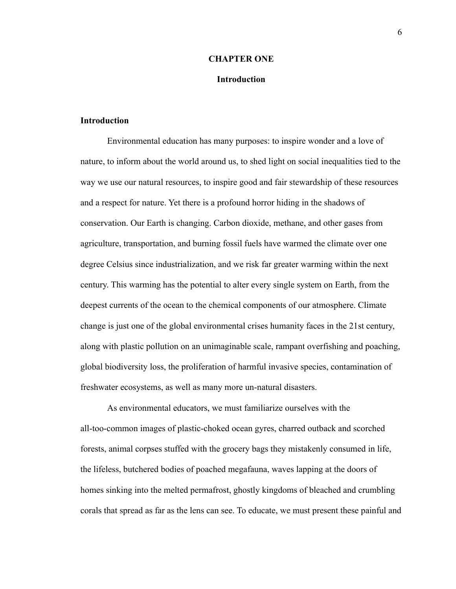#### **CHAPTER ONE**

#### **Introduction**

#### <span id="page-6-1"></span><span id="page-6-0"></span>**Introduction**

Environmental education has many purposes: to inspire wonder and a love of nature, to inform about the world around us, to shed light on social inequalities tied to the way we use our natural resources, to inspire good and fair stewardship of these resources and a respect for nature. Yet there is a profound horror hiding in the shadows of conservation. Our Earth is changing. Carbon dioxide, methane, and other gases from agriculture, transportation, and burning fossil fuels have warmed the climate over one degree Celsius since industrialization, and we risk far greater warming within the next century. This warming has the potential to alter every single system on Earth, from the deepest currents of the ocean to the chemical components of our atmosphere. Climate change is just one of the global environmental crises humanity faces in the 21st century, along with plastic pollution on an unimaginable scale, rampant overfishing and poaching, global biodiversity loss, the proliferation of harmful invasive species, contamination of freshwater ecosystems, as well as many more un-natural disasters.

As environmental educators, we must familiarize ourselves with the all-too-common images of plastic-choked ocean gyres, charred outback and scorched forests, animal corpses stuffed with the grocery bags they mistakenly consumed in life, the lifeless, butchered bodies of poached megafauna, waves lapping at the doors of homes sinking into the melted permafrost, ghostly kingdoms of bleached and crumbling corals that spread as far as the lens can see. To educate, we must present these painful and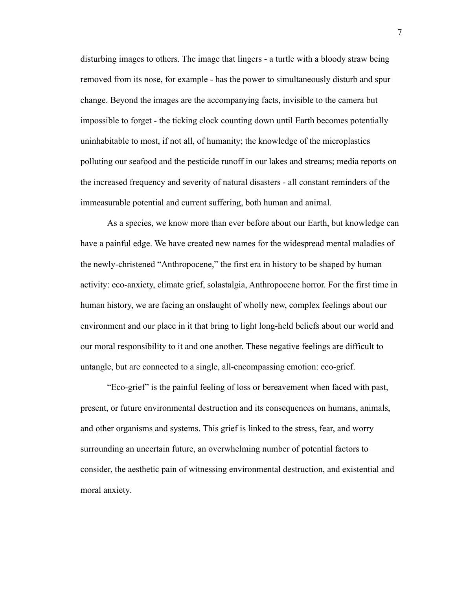disturbing images to others. The image that lingers - a turtle with a bloody straw being removed from its nose, for example - has the power to simultaneously disturb and spur change. Beyond the images are the accompanying facts, invisible to the camera but impossible to forget - the ticking clock counting down until Earth becomes potentially uninhabitable to most, if not all, of humanity; the knowledge of the microplastics polluting our seafood and the pesticide runoff in our lakes and streams; media reports on the increased frequency and severity of natural disasters - all constant reminders of the immeasurable potential and current suffering, both human and animal.

As a species, we know more than ever before about our Earth, but knowledge can have a painful edge. We have created new names for the widespread mental maladies of the newly-christened "Anthropocene," the first era in history to be shaped by human activity: eco-anxiety, climate grief, solastalgia, Anthropocene horror. For the first time in human history, we are facing an onslaught of wholly new, complex feelings about our environment and our place in it that bring to light long-held beliefs about our world and our moral responsibility to it and one another. These negative feelings are difficult to untangle, but are connected to a single, all-encompassing emotion: eco-grief.

"Eco-grief" is the painful feeling of loss or bereavement when faced with past, present, or future environmental destruction and its consequences on humans, animals, and other organisms and systems. This grief is linked to the stress, fear, and worry surrounding an uncertain future, an overwhelming number of potential factors to consider, the aesthetic pain of witnessing environmental destruction, and existential and moral anxiety.

7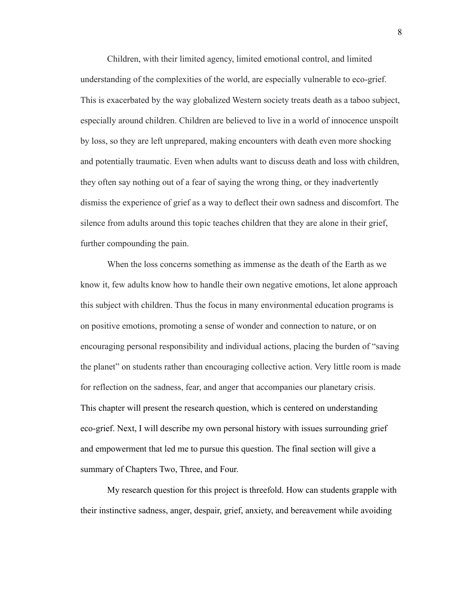Children, with their limited agency, limited emotional control, and limited understanding of the complexities of the world, are especially vulnerable to eco-grief. This is exacerbated by the way globalized Western society treats death as a taboo subject, especially around children. Children are believed to live in a world of innocence unspoilt by loss, so they are left unprepared, making encounters with death even more shocking and potentially traumatic. Even when adults want to discuss death and loss with children, they often say nothing out of a fear of saying the wrong thing, or they inadvertently dismiss the experience of grief as a way to deflect their own sadness and discomfort. The silence from adults around this topic teaches children that they are alone in their grief, further compounding the pain.

When the loss concerns something as immense as the death of the Earth as we know it, few adults know how to handle their own negative emotions, let alone approach this subject with children. Thus the focus in many environmental education programs is on positive emotions, promoting a sense of wonder and connection to nature, or on encouraging personal responsibility and individual actions, placing the burden of "saving the planet" on students rather than encouraging collective action. Very little room is made for reflection on the sadness, fear, and anger that accompanies our planetary crisis. This chapter will present the research question, which is centered on understanding eco-grief. Next, I will describe my own personal history with issues surrounding grief and empowerment that led me to pursue this question. The final section will give a summary of Chapters Two, Three, and Four.

My research question for this project is threefold. How can students grapple with their instinctive sadness, anger, despair, grief, anxiety, and bereavement while avoiding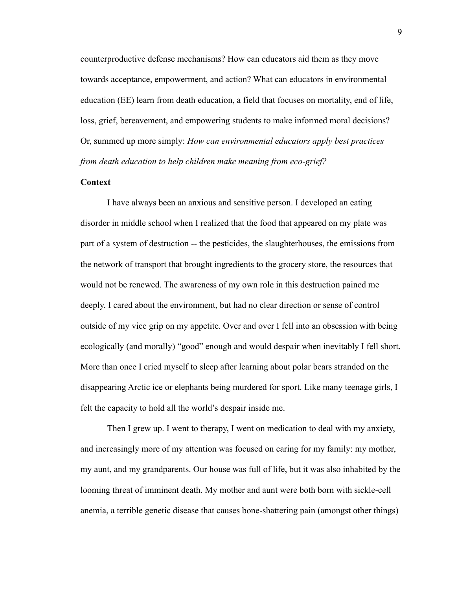counterproductive defense mechanisms? How can educators aid them as they move towards acceptance, empowerment, and action? What can educators in environmental education (EE) learn from death education, a field that focuses on mortality, end of life, loss, grief, bereavement, and empowering students to make informed moral decisions? Or, summed up more simply: *How can environmental educators apply best practices from death education to help children make meaning from eco-grief?*

## <span id="page-9-0"></span>**Context**

I have always been an anxious and sensitive person. I developed an eating disorder in middle school when I realized that the food that appeared on my plate was part of a system of destruction -- the pesticides, the slaughterhouses, the emissions from the network of transport that brought ingredients to the grocery store, the resources that would not be renewed. The awareness of my own role in this destruction pained me deeply. I cared about the environment, but had no clear direction or sense of control outside of my vice grip on my appetite. Over and over I fell into an obsession with being ecologically (and morally) "good" enough and would despair when inevitably I fell short. More than once I cried myself to sleep after learning about polar bears stranded on the disappearing Arctic ice or elephants being murdered for sport. Like many teenage girls, I felt the capacity to hold all the world's despair inside me.

Then I grew up. I went to therapy, I went on medication to deal with my anxiety, and increasingly more of my attention was focused on caring for my family: my mother, my aunt, and my grandparents. Our house was full of life, but it was also inhabited by the looming threat of imminent death. My mother and aunt were both born with sickle-cell anemia, a terrible genetic disease that causes bone-shattering pain (amongst other things)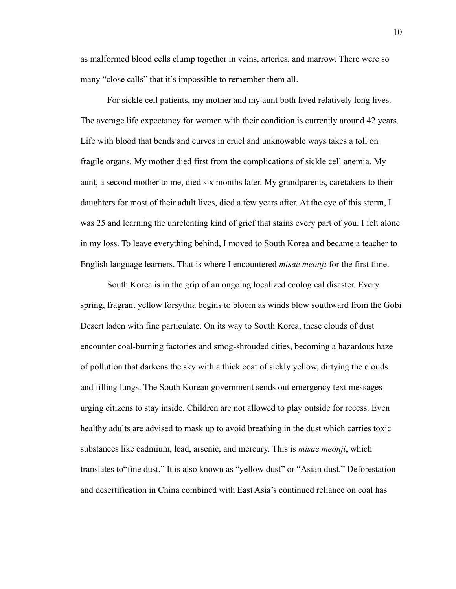as malformed blood cells clump together in veins, arteries, and marrow. There were so many "close calls" that it's impossible to remember them all.

For sickle cell patients, my mother and my aunt both lived relatively long lives. The average life expectancy for women with their condition is currently around 42 years. Life with blood that bends and curves in cruel and unknowable ways takes a toll on fragile organs. My mother died first from the complications of sickle cell anemia. My aunt, a second mother to me, died six months later. My grandparents, caretakers to their daughters for most of their adult lives, died a few years after. At the eye of this storm, I was 25 and learning the unrelenting kind of grief that stains every part of you. I felt alone in my loss. To leave everything behind, I moved to South Korea and became a teacher to English language learners. That is where I encountered *misae meonji* for the first time.

South Korea is in the grip of an ongoing localized ecological disaster. Every spring, fragrant yellow forsythia begins to bloom as winds blow southward from the Gobi Desert laden with fine particulate. On its way to South Korea, these clouds of dust encounter coal-burning factories and smog-shrouded cities, becoming a hazardous haze of pollution that darkens the sky with a thick coat of sickly yellow, dirtying the clouds and filling lungs. The South Korean government sends out emergency text messages urging citizens to stay inside. Children are not allowed to play outside for recess. Even healthy adults are advised to mask up to avoid breathing in the dust which carries toxic substances like cadmium, lead, arsenic, and mercury. This is *misae meonji*, which translates to"fine dust." It is also known as "yellow dust" or "Asian dust." Deforestation and desertification in China combined with East Asia's continued reliance on coal has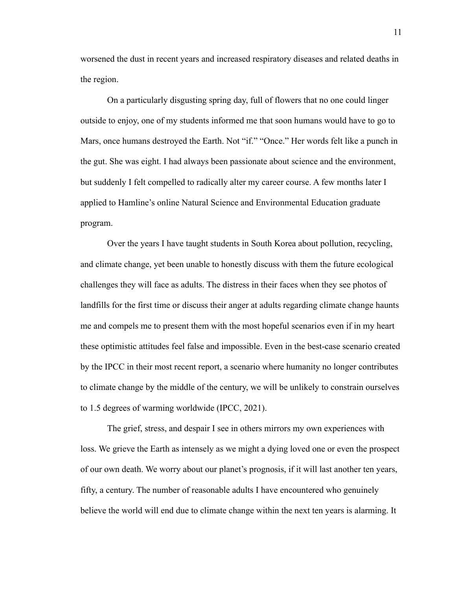worsened the dust in recent years and increased respiratory diseases and related deaths in the region.

On a particularly disgusting spring day, full of flowers that no one could linger outside to enjoy, one of my students informed me that soon humans would have to go to Mars, once humans destroyed the Earth. Not "if." "Once." Her words felt like a punch in the gut. She was eight. I had always been passionate about science and the environment, but suddenly I felt compelled to radically alter my career course. A few months later I applied to Hamline's online Natural Science and Environmental Education graduate program.

Over the years I have taught students in South Korea about pollution, recycling, and climate change, yet been unable to honestly discuss with them the future ecological challenges they will face as adults. The distress in their faces when they see photos of landfills for the first time or discuss their anger at adults regarding climate change haunts me and compels me to present them with the most hopeful scenarios even if in my heart these optimistic attitudes feel false and impossible. Even in the best-case scenario created by the IPCC in their most recent report, a scenario where humanity no longer contributes to climate change by the middle of the century, we will be unlikely to constrain ourselves to 1.5 degrees of warming worldwide (IPCC, 2021).

The grief, stress, and despair I see in others mirrors my own experiences with loss. We grieve the Earth as intensely as we might a dying loved one or even the prospect of our own death. We worry about our planet's prognosis, if it will last another ten years, fifty, a century. The number of reasonable adults I have encountered who genuinely believe the world will end due to climate change within the next ten years is alarming. It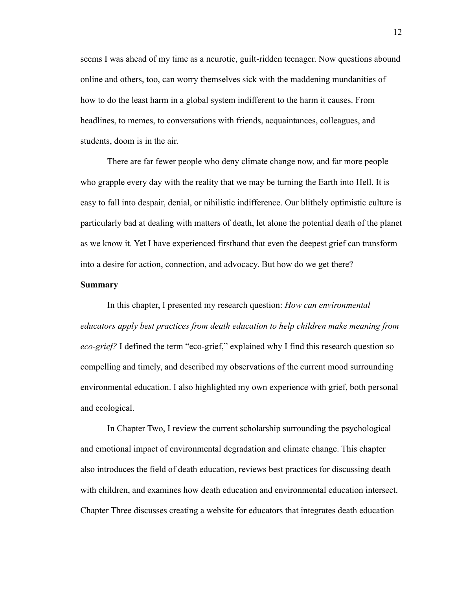seems I was ahead of my time as a neurotic, guilt-ridden teenager. Now questions abound online and others, too, can worry themselves sick with the maddening mundanities of how to do the least harm in a global system indifferent to the harm it causes. From headlines, to memes, to conversations with friends, acquaintances, colleagues, and students, doom is in the air.

There are far fewer people who deny climate change now, and far more people who grapple every day with the reality that we may be turning the Earth into Hell. It is easy to fall into despair, denial, or nihilistic indifference. Our blithely optimistic culture is particularly bad at dealing with matters of death, let alone the potential death of the planet as we know it. Yet I have experienced firsthand that even the deepest grief can transform into a desire for action, connection, and advocacy. But how do we get there?

#### <span id="page-12-0"></span>**Summary**

In this chapter, I presented my research question: *How can environmental educators apply best practices from death education to help children make meaning from eco-grief?* I defined the term "eco-grief," explained why I find this research question so compelling and timely, and described my observations of the current mood surrounding environmental education. I also highlighted my own experience with grief, both personal and ecological.

In Chapter Two, I review the current scholarship surrounding the psychological and emotional impact of environmental degradation and climate change. This chapter also introduces the field of death education, reviews best practices for discussing death with children, and examines how death education and environmental education intersect. Chapter Three discusses creating a website for educators that integrates death education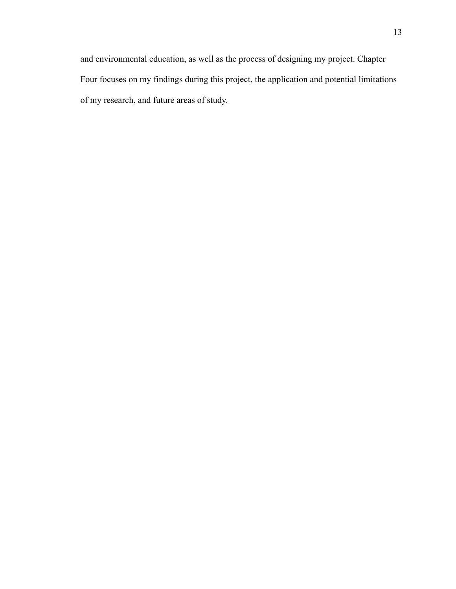and environmental education, as well as the process of designing my project. Chapter Four focuses on my findings during this project, the application and potential limitations of my research, and future areas of study.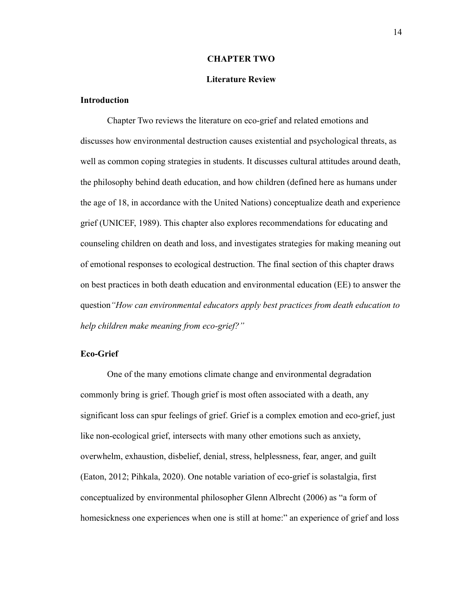#### **CHAPTER TWO**

#### **Literature Review**

## <span id="page-14-1"></span><span id="page-14-0"></span>**Introduction**

Chapter Two reviews the literature on eco-grief and related emotions and discusses how environmental destruction causes existential and psychological threats, as well as common coping strategies in students. It discusses cultural attitudes around death, the philosophy behind death education, and how children (defined here as humans under the age of 18, in accordance with the United Nations) conceptualize death and experience grief (UNICEF, 1989). This chapter also explores recommendations for educating and counseling children on death and loss, and investigates strategies for making meaning out of emotional responses to ecological destruction. The final section of this chapter draws on best practices in both death education and environmental education (EE) to answer the question*"How can environmental educators apply best practices from death education to help children make meaning from eco-grief?"*

#### <span id="page-14-2"></span>**Eco-Grief**

One of the many emotions climate change and environmental degradation commonly bring is grief. Though grief is most often associated with a death, any significant loss can spur feelings of grief. Grief is a complex emotion and eco-grief, just like non-ecological grief, intersects with many other emotions such as anxiety, overwhelm, exhaustion, disbelief, denial, stress, helplessness, fear, anger, and guilt (Eaton, 2012; Pihkala, 2020). One notable variation of eco-grief is solastalgia, first conceptualized by environmental philosopher Glenn Albrecht (2006) as "a form of homesickness one experiences when one is still at home:" an experience of grief and loss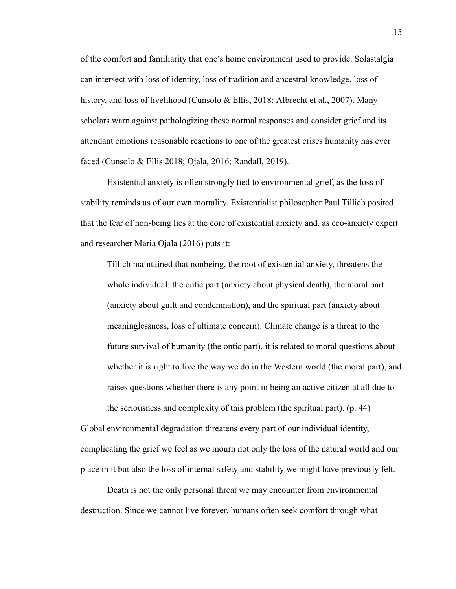of the comfort and familiarity that one's home environment used to provide. Solastalgia can intersect with loss of identity, loss of tradition and ancestral knowledge, loss of history, and loss of livelihood (Cunsolo & Ellis, 2018; Albrecht et al., 2007). Many scholars warn against pathologizing these normal responses and consider grief and its attendant emotions reasonable reactions to one of the greatest crises humanity has ever faced (Cunsolo & Ellis 2018; Ojala, 2016; Randall, 2019).

Existential anxiety is often strongly tied to environmental grief, as the loss of stability reminds us of our own mortality. Existentialist philosopher Paul Tillich posited that the fear of non-being lies at the core of existential anxiety and, as eco-anxiety expert and researcher Maria Ojala (2016) puts it:

Tillich maintained that nonbeing, the root of existential anxiety, threatens the whole individual: the ontic part (anxiety about physical death), the moral part (anxiety about guilt and condemnation), and the spiritual part (anxiety about meaninglessness, loss of ultimate concern). Climate change is a threat to the future survival of humanity (the ontic part), it is related to moral questions about whether it is right to live the way we do in the Western world (the moral part), and raises questions whether there is any point in being an active citizen at all due to the seriousness and complexity of this problem (the spiritual part). (p. 44)

Global environmental degradation threatens every part of our individual identity, complicating the grief we feel as we mourn not only the loss of the natural world and our place in it but also the loss of internal safety and stability we might have previously felt.

Death is not the only personal threat we may encounter from environmental destruction. Since we cannot live forever, humans often seek comfort through what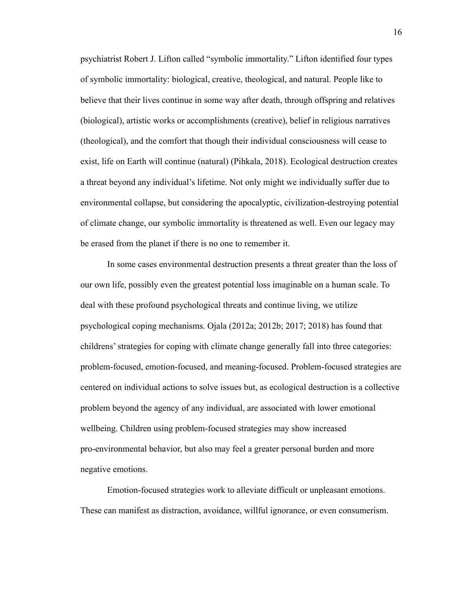psychiatrist Robert J. Lifton called "symbolic immortality." Lifton identified four types of symbolic immortality: biological, creative, theological, and natural. People like to believe that their lives continue in some way after death, through offspring and relatives (biological), artistic works or accomplishments (creative), belief in religious narratives (theological), and the comfort that though their individual consciousness will cease to exist, life on Earth will continue (natural) (Pihkala, 2018). Ecological destruction creates a threat beyond any individual's lifetime. Not only might we individually suffer due to environmental collapse, but considering the apocalyptic, civilization-destroying potential of climate change, our symbolic immortality is threatened as well. Even our legacy may be erased from the planet if there is no one to remember it.

In some cases environmental destruction presents a threat greater than the loss of our own life, possibly even the greatest potential loss imaginable on a human scale. To deal with these profound psychological threats and continue living, we utilize psychological coping mechanisms. Ojala (2012a; 2012b; 2017; 2018) has found that childrens' strategies for coping with climate change generally fall into three categories: problem-focused, emotion-focused, and meaning-focused. Problem-focused strategies are centered on individual actions to solve issues but, as ecological destruction is a collective problem beyond the agency of any individual, are associated with lower emotional wellbeing. Children using problem-focused strategies may show increased pro-environmental behavior, but also may feel a greater personal burden and more negative emotions.

Emotion-focused strategies work to alleviate difficult or unpleasant emotions. These can manifest as distraction, avoidance, willful ignorance, or even consumerism.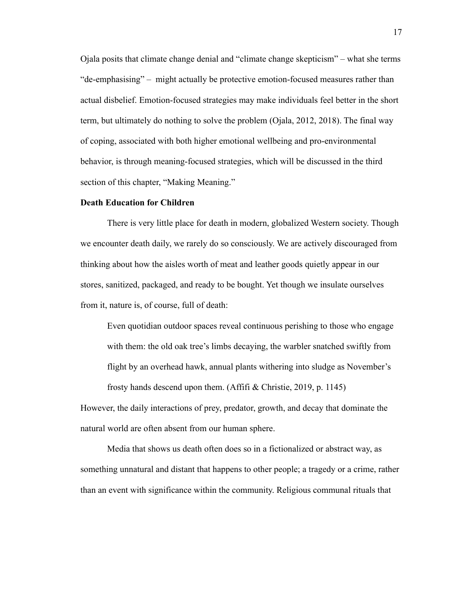Ojala posits that climate change denial and "climate change skepticism" – what she terms "de-emphasising" – might actually be protective emotion-focused measures rather than actual disbelief. Emotion-focused strategies may make individuals feel better in the short term, but ultimately do nothing to solve the problem (Ojala, 2012, 2018). The final way of coping, associated with both higher emotional wellbeing and pro-environmental behavior, is through meaning-focused strategies, which will be discussed in the third section of this chapter, "Making Meaning."

#### <span id="page-17-0"></span>**Death Education for Children**

There is very little place for death in modern, globalized Western society. Though we encounter death daily, we rarely do so consciously. We are actively discouraged from thinking about how the aisles worth of meat and leather goods quietly appear in our stores, sanitized, packaged, and ready to be bought. Yet though we insulate ourselves from it, nature is, of course, full of death:

Even quotidian outdoor spaces reveal continuous perishing to those who engage with them: the old oak tree's limbs decaying, the warbler snatched swiftly from flight by an overhead hawk, annual plants withering into sludge as November's frosty hands descend upon them. (Affifi & Christie, 2019, p. 1145)

However, the daily interactions of prey, predator, growth, and decay that dominate the natural world are often absent from our human sphere.

Media that shows us death often does so in a fictionalized or abstract way, as something unnatural and distant that happens to other people; a tragedy or a crime, rather than an event with significance within the community. Religious communal rituals that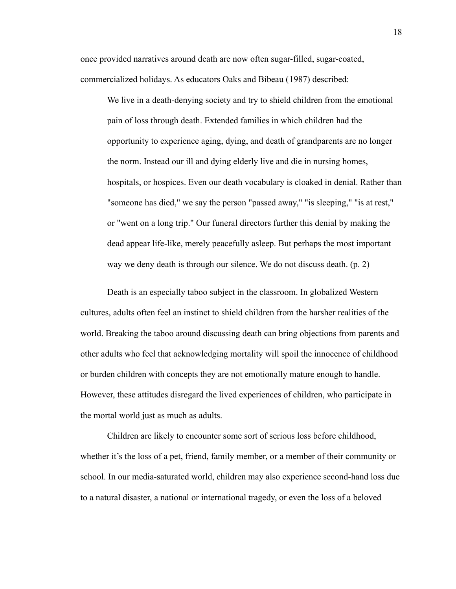once provided narratives around death are now often sugar-filled, sugar-coated, commercialized holidays. As educators Oaks and Bibeau (1987) described:

We live in a death-denying society and try to shield children from the emotional pain of loss through death. Extended families in which children had the opportunity to experience aging, dying, and death of grandparents are no longer the norm. Instead our ill and dying elderly live and die in nursing homes, hospitals, or hospices. Even our death vocabulary is cloaked in denial. Rather than "someone has died," we say the person "passed away," "is sleeping," "is at rest," or "went on a long trip." Our funeral directors further this denial by making the dead appear life-like, merely peacefully asleep. But perhaps the most important way we deny death is through our silence. We do not discuss death. (p. 2)

Death is an especially taboo subject in the classroom. In globalized Western cultures, adults often feel an instinct to shield children from the harsher realities of the world. Breaking the taboo around discussing death can bring objections from parents and other adults who feel that acknowledging mortality will spoil the innocence of childhood or burden children with concepts they are not emotionally mature enough to handle. However, these attitudes disregard the lived experiences of children, who participate in the mortal world just as much as adults.

Children are likely to encounter some sort of serious loss before childhood, whether it's the loss of a pet, friend, family member, or a member of their community or school. In our media-saturated world, children may also experience second-hand loss due to a natural disaster, a national or international tragedy, or even the loss of a beloved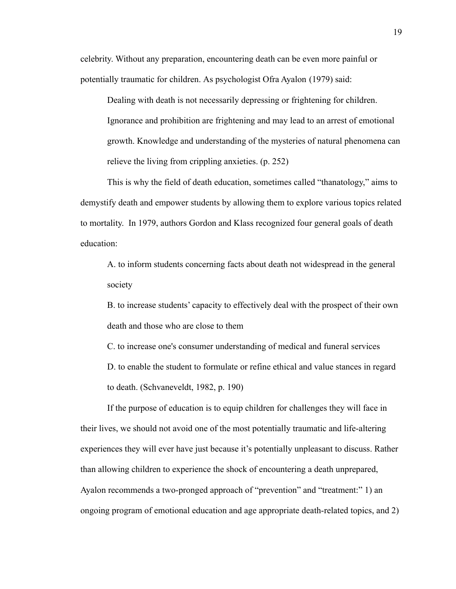celebrity. Without any preparation, encountering death can be even more painful or potentially traumatic for children. As psychologist Ofra Ayalon (1979) said:

Dealing with death is not necessarily depressing or frightening for children. Ignorance and prohibition are frightening and may lead to an arrest of emotional growth. Knowledge and understanding of the mysteries of natural phenomena can relieve the living from crippling anxieties. (p. 252)

This is why the field of death education, sometimes called "thanatology," aims to demystify death and empower students by allowing them to explore various topics related to mortality. In 1979, authors Gordon and Klass recognized four general goals of death education:

A. to inform students concerning facts about death not widespread in the general society

B. to increase students' capacity to effectively deal with the prospect of their own death and those who are close to them

C. to increase one's consumer understanding of medical and funeral services D. to enable the student to formulate or refine ethical and value stances in regard to death. (Schvaneveldt, 1982, p. 190)

If the purpose of education is to equip children for challenges they will face in their lives, we should not avoid one of the most potentially traumatic and life-altering experiences they will ever have just because it's potentially unpleasant to discuss. Rather than allowing children to experience the shock of encountering a death unprepared, Ayalon recommends a two-pronged approach of "prevention" and "treatment:" 1) an ongoing program of emotional education and age appropriate death-related topics, and 2)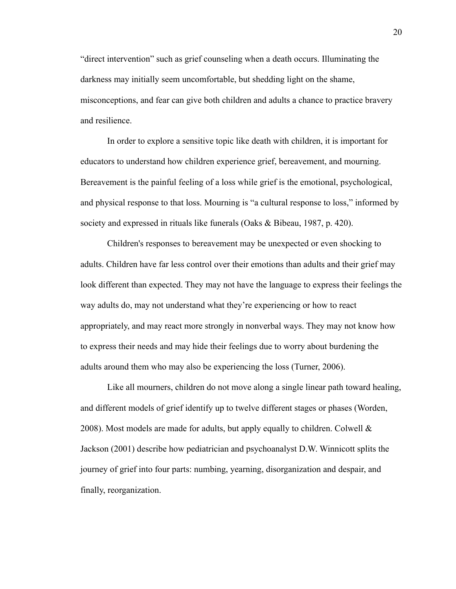"direct intervention" such as grief counseling when a death occurs. Illuminating the darkness may initially seem uncomfortable, but shedding light on the shame, misconceptions, and fear can give both children and adults a chance to practice bravery and resilience.

In order to explore a sensitive topic like death with children, it is important for educators to understand how children experience grief, bereavement, and mourning. Bereavement is the painful feeling of a loss while grief is the emotional, psychological, and physical response to that loss. Mourning is "a cultural response to loss," informed by society and expressed in rituals like funerals (Oaks & Bibeau, 1987, p. 420).

Children's responses to bereavement may be unexpected or even shocking to adults. Children have far less control over their emotions than adults and their grief may look different than expected. They may not have the language to express their feelings the way adults do, may not understand what they're experiencing or how to react appropriately, and may react more strongly in nonverbal ways. They may not know how to express their needs and may hide their feelings due to worry about burdening the adults around them who may also be experiencing the loss (Turner, 2006).

Like all mourners, children do not move along a single linear path toward healing, and different models of grief identify up to twelve different stages or phases (Worden, 2008). Most models are made for adults, but apply equally to children. Colwell  $\&$ Jackson (2001) describe how pediatrician and psychoanalyst D.W. Winnicott splits the journey of grief into four parts: numbing, yearning, disorganization and despair, and finally, reorganization.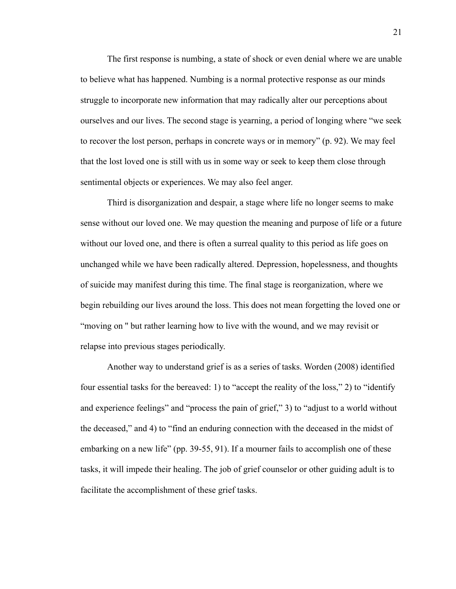The first response is numbing, a state of shock or even denial where we are unable to believe what has happened. Numbing is a normal protective response as our minds struggle to incorporate new information that may radically alter our perceptions about ourselves and our lives. The second stage is yearning, a period of longing where "we seek to recover the lost person, perhaps in concrete ways or in memory" (p. 92). We may feel that the lost loved one is still with us in some way or seek to keep them close through sentimental objects or experiences. We may also feel anger.

Third is disorganization and despair, a stage where life no longer seems to make sense without our loved one. We may question the meaning and purpose of life or a future without our loved one, and there is often a surreal quality to this period as life goes on unchanged while we have been radically altered. Depression, hopelessness, and thoughts of suicide may manifest during this time. The final stage is reorganization, where we begin rebuilding our lives around the loss. This does not mean forgetting the loved one or "moving on '' but rather learning how to live with the wound, and we may revisit or relapse into previous stages periodically.

Another way to understand grief is as a series of tasks. Worden (2008) identified four essential tasks for the bereaved: 1) to "accept the reality of the loss," 2) to "identify and experience feelings" and "process the pain of grief," 3) to "adjust to a world without the deceased," and 4) to "find an enduring connection with the deceased in the midst of embarking on a new life" (pp. 39-55, 91). If a mourner fails to accomplish one of these tasks, it will impede their healing. The job of grief counselor or other guiding adult is to facilitate the accomplishment of these grief tasks.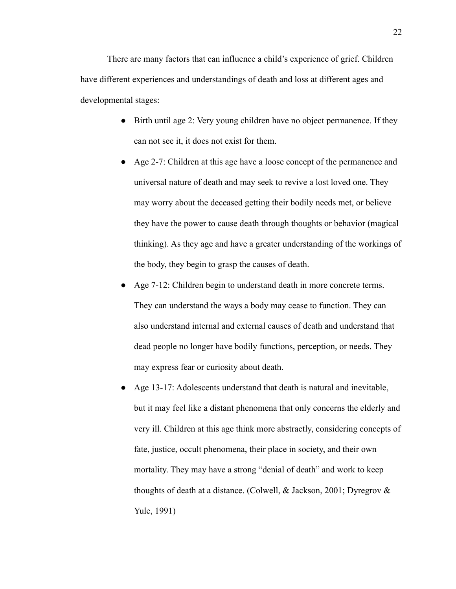There are many factors that can influence a child's experience of grief. Children have different experiences and understandings of death and loss at different ages and developmental stages:

- Birth until age 2: Very young children have no object permanence. If they can not see it, it does not exist for them.
- Age 2-7: Children at this age have a loose concept of the permanence and universal nature of death and may seek to revive a lost loved one. They may worry about the deceased getting their bodily needs met, or believe they have the power to cause death through thoughts or behavior (magical thinking). As they age and have a greater understanding of the workings of the body, they begin to grasp the causes of death.
- Age 7-12: Children begin to understand death in more concrete terms. They can understand the ways a body may cease to function. They can also understand internal and external causes of death and understand that dead people no longer have bodily functions, perception, or needs. They may express fear or curiosity about death.
- Age 13-17: Adolescents understand that death is natural and inevitable, but it may feel like a distant phenomena that only concerns the elderly and very ill. Children at this age think more abstractly, considering concepts of fate, justice, occult phenomena, their place in society, and their own mortality. They may have a strong "denial of death" and work to keep thoughts of death at a distance. (Colwell, & Jackson, 2001; Dyregrov & Yule, 1991)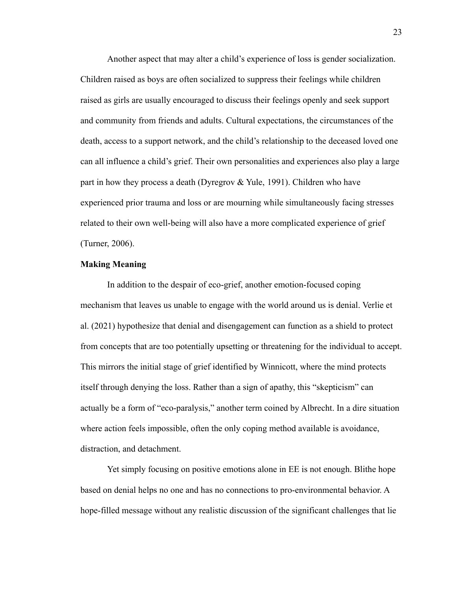Another aspect that may alter a child's experience of loss is gender socialization. Children raised as boys are often socialized to suppress their feelings while children raised as girls are usually encouraged to discuss their feelings openly and seek support and community from friends and adults. Cultural expectations, the circumstances of the death, access to a support network, and the child's relationship to the deceased loved one can all influence a child's grief. Their own personalities and experiences also play a large part in how they process a death (Dyregrov  $&$  Yule, 1991). Children who have experienced prior trauma and loss or are mourning while simultaneously facing stresses related to their own well-being will also have a more complicated experience of grief (Turner, 2006).

#### <span id="page-23-0"></span>**Making Meaning**

In addition to the despair of eco-grief, another emotion-focused coping mechanism that leaves us unable to engage with the world around us is denial. Verlie et al. (2021) hypothesize that denial and disengagement can function as a shield to protect from concepts that are too potentially upsetting or threatening for the individual to accept. This mirrors the initial stage of grief identified by Winnicott, where the mind protects itself through denying the loss. Rather than a sign of apathy, this "skepticism" can actually be a form of "eco-paralysis," another term coined by Albrecht. In a dire situation where action feels impossible, often the only coping method available is avoidance, distraction, and detachment.

Yet simply focusing on positive emotions alone in EE is not enough. Blithe hope based on denial helps no one and has no connections to pro-environmental behavior. A hope-filled message without any realistic discussion of the significant challenges that lie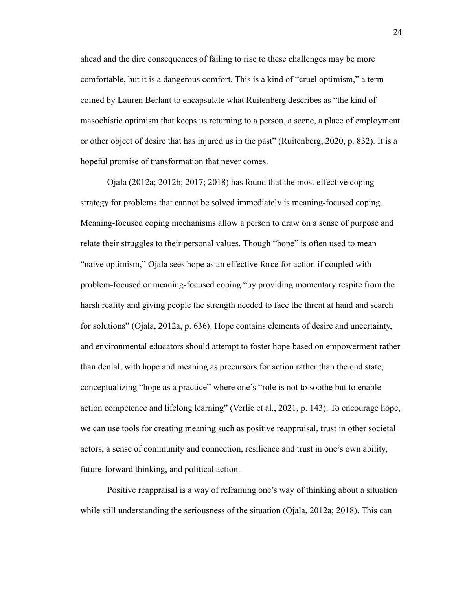ahead and the dire consequences of failing to rise to these challenges may be more comfortable, but it is a dangerous comfort. This is a kind of "cruel optimism," a term coined by Lauren Berlant to encapsulate what Ruitenberg describes as "the kind of masochistic optimism that keeps us returning to a person, a scene, a place of employment or other object of desire that has injured us in the past" (Ruitenberg, 2020, p. 832). It is a hopeful promise of transformation that never comes.

Ojala (2012a; 2012b; 2017; 2018) has found that the most effective coping strategy for problems that cannot be solved immediately is meaning-focused coping. Meaning-focused coping mechanisms allow a person to draw on a sense of purpose and relate their struggles to their personal values. Though "hope" is often used to mean "naive optimism," Ojala sees hope as an effective force for action if coupled with problem-focused or meaning-focused coping "by providing momentary respite from the harsh reality and giving people the strength needed to face the threat at hand and search for solutions" (Ojala, 2012a, p. 636). Hope contains elements of desire and uncertainty, and environmental educators should attempt to foster hope based on empowerment rather than denial, with hope and meaning as precursors for action rather than the end state, conceptualizing "hope as a practice" where one's "role is not to soothe but to enable action competence and lifelong learning" (Verlie et al., 2021, p. 143). To encourage hope, we can use tools for creating meaning such as positive reappraisal, trust in other societal actors, a sense of community and connection, resilience and trust in one's own ability, future-forward thinking, and political action.

Positive reappraisal is a way of reframing one's way of thinking about a situation while still understanding the seriousness of the situation (Ojala, 2012a; 2018). This can

24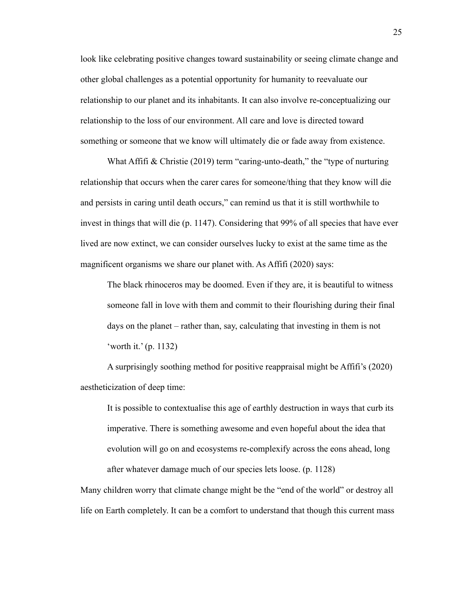look like celebrating positive changes toward sustainability or seeing climate change and other global challenges as a potential opportunity for humanity to reevaluate our relationship to our planet and its inhabitants. It can also involve re-conceptualizing our relationship to the loss of our environment. All care and love is directed toward something or someone that we know will ultimately die or fade away from existence.

What Affifi & Christie (2019) term "caring-unto-death," the "type of nurturing relationship that occurs when the carer cares for someone/thing that they know will die and persists in caring until death occurs," can remind us that it is still worthwhile to invest in things that will die (p. 1147). Considering that 99% of all species that have ever lived are now extinct, we can consider ourselves lucky to exist at the same time as the magnificent organisms we share our planet with. As Affifi (2020) says:

The black rhinoceros may be doomed. Even if they are, it is beautiful to witness someone fall in love with them and commit to their flourishing during their final days on the planet – rather than, say, calculating that investing in them is not 'worth it.' (p. 1132)

A surprisingly soothing method for positive reappraisal might be Affifi's (2020) aestheticization of deep time:

It is possible to contextualise this age of earthly destruction in ways that curb its imperative. There is something awesome and even hopeful about the idea that evolution will go on and ecosystems re-complexify across the eons ahead, long after whatever damage much of our species lets loose. (p. 1128)

Many children worry that climate change might be the "end of the world" or destroy all life on Earth completely. It can be a comfort to understand that though this current mass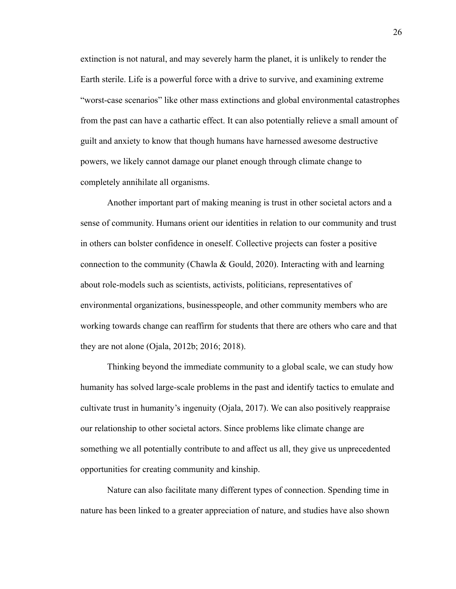extinction is not natural, and may severely harm the planet, it is unlikely to render the Earth sterile. Life is a powerful force with a drive to survive, and examining extreme "worst-case scenarios" like other mass extinctions and global environmental catastrophes from the past can have a cathartic effect. It can also potentially relieve a small amount of guilt and anxiety to know that though humans have harnessed awesome destructive powers, we likely cannot damage our planet enough through climate change to completely annihilate all organisms.

Another important part of making meaning is trust in other societal actors and a sense of community. Humans orient our identities in relation to our community and trust in others can bolster confidence in oneself. Collective projects can foster a positive connection to the community (Chawla & Gould, 2020). Interacting with and learning about role-models such as scientists, activists, politicians, representatives of environmental organizations, businesspeople, and other community members who are working towards change can reaffirm for students that there are others who care and that they are not alone (Ojala, 2012b; 2016; 2018).

Thinking beyond the immediate community to a global scale, we can study how humanity has solved large-scale problems in the past and identify tactics to emulate and cultivate trust in humanity's ingenuity (Ojala, 2017). We can also positively reappraise our relationship to other societal actors. Since problems like climate change are something we all potentially contribute to and affect us all, they give us unprecedented opportunities for creating community and kinship.

Nature can also facilitate many different types of connection. Spending time in nature has been linked to a greater appreciation of nature, and studies have also shown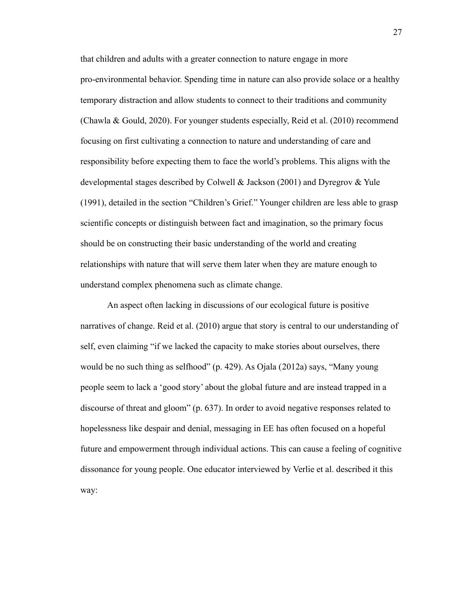that children and adults with a greater connection to nature engage in more pro-environmental behavior. Spending time in nature can also provide solace or a healthy temporary distraction and allow students to connect to their traditions and community (Chawla & Gould, 2020). For younger students especially, Reid et al. (2010) recommend focusing on first cultivating a connection to nature and understanding of care and responsibility before expecting them to face the world's problems. This aligns with the developmental stages described by Colwell & Jackson (2001) and Dyregrov & Yule (1991), detailed in the section "Children's Grief." Younger children are less able to grasp scientific concepts or distinguish between fact and imagination, so the primary focus should be on constructing their basic understanding of the world and creating relationships with nature that will serve them later when they are mature enough to understand complex phenomena such as climate change.

An aspect often lacking in discussions of our ecological future is positive narratives of change. Reid et al. (2010) argue that story is central to our understanding of self, even claiming "if we lacked the capacity to make stories about ourselves, there would be no such thing as selfhood" (p. 429). As Ojala (2012a) says, "Many young people seem to lack a 'good story' about the global future and are instead trapped in a discourse of threat and gloom" (p. 637). In order to avoid negative responses related to hopelessness like despair and denial, messaging in EE has often focused on a hopeful future and empowerment through individual actions. This can cause a feeling of cognitive dissonance for young people. One educator interviewed by Verlie et al. described it this way: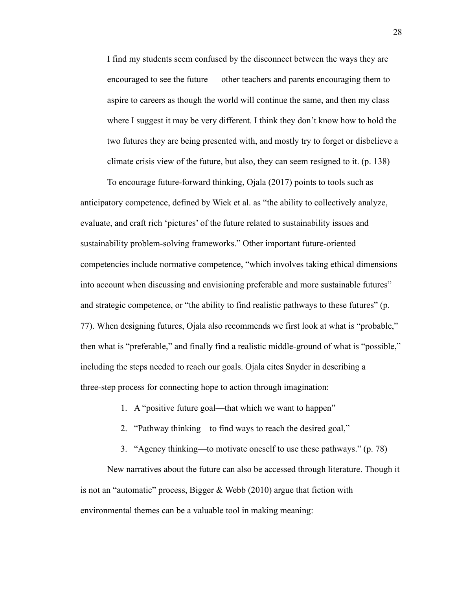I find my students seem confused by the disconnect between the ways they are encouraged to see the future — other teachers and parents encouraging them to aspire to careers as though the world will continue the same, and then my class where I suggest it may be very different. I think they don't know how to hold the two futures they are being presented with, and mostly try to forget or disbelieve a climate crisis view of the future, but also, they can seem resigned to it. (p. 138)

To encourage future-forward thinking, Ojala (2017) points to tools such as anticipatory competence, defined by Wiek et al. as "the ability to collectively analyze, evaluate, and craft rich 'pictures' of the future related to sustainability issues and sustainability problem-solving frameworks." Other important future-oriented competencies include normative competence, "which involves taking ethical dimensions into account when discussing and envisioning preferable and more sustainable futures" and strategic competence, or "the ability to find realistic pathways to these futures" (p. 77). When designing futures, Ojala also recommends we first look at what is "probable," then what is "preferable," and finally find a realistic middle-ground of what is "possible," including the steps needed to reach our goals. Ojala cites Snyder in describing a three-step process for connecting hope to action through imagination:

- 1. A "positive future goal—that which we want to happen"
- 2. "Pathway thinking—to find ways to reach the desired goal,"
- 3. "Agency thinking—to motivate oneself to use these pathways." (p. 78)

New narratives about the future can also be accessed through literature. Though it is not an "automatic" process, Bigger & Webb (2010) argue that fiction with environmental themes can be a valuable tool in making meaning: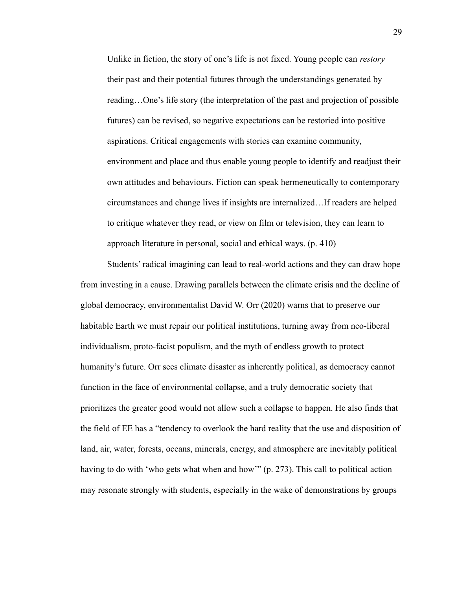Unlike in fiction, the story of one's life is not fixed. Young people can *restory* their past and their potential futures through the understandings generated by reading…One's life story (the interpretation of the past and projection of possible futures) can be revised, so negative expectations can be restoried into positive aspirations. Critical engagements with stories can examine community, environment and place and thus enable young people to identify and readjust their own attitudes and behaviours. Fiction can speak hermeneutically to contemporary circumstances and change lives if insights are internalized…If readers are helped to critique whatever they read, or view on film or television, they can learn to approach literature in personal, social and ethical ways. (p. 410)

Students' radical imagining can lead to real-world actions and they can draw hope from investing in a cause. Drawing parallels between the climate crisis and the decline of global democracy, environmentalist David W. Orr (2020) warns that to preserve our habitable Earth we must repair our political institutions, turning away from neo-liberal individualism, proto-facist populism, and the myth of endless growth to protect humanity's future. Orr sees climate disaster as inherently political, as democracy cannot function in the face of environmental collapse, and a truly democratic society that prioritizes the greater good would not allow such a collapse to happen. He also finds that the field of EE has a "tendency to overlook the hard reality that the use and disposition of land, air, water, forests, oceans, minerals, energy, and atmosphere are inevitably political having to do with 'who gets what when and how'" (p. 273). This call to political action may resonate strongly with students, especially in the wake of demonstrations by groups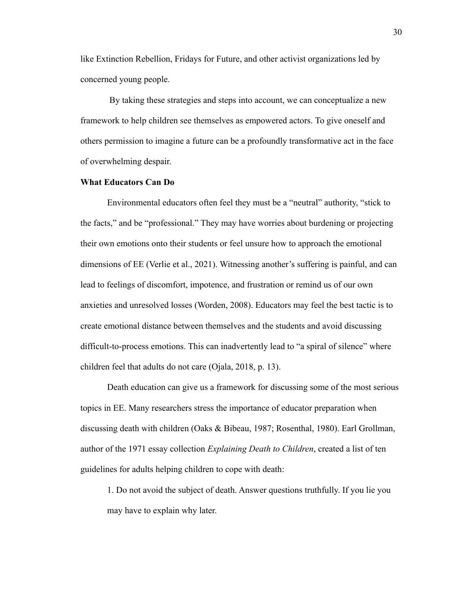like Extinction Rebellion, Fridays for Future, and other activist organizations led by concerned young people.

By taking these strategies and steps into account, we can conceptualize a new framework to help children see themselves as empowered actors. To give oneself and others permission to imagine a future can be a profoundly transformative act in the face of overwhelming despair.

#### <span id="page-30-0"></span>**What Educators Can Do**

Environmental educators often feel they must be a "neutral" authority, "stick to the facts," and be "professional." They may have worries about burdening or projecting their own emotions onto their students or feel unsure how to approach the emotional dimensions of EE (Verlie et al., 2021). Witnessing another's suffering is painful, and can lead to feelings of discomfort, impotence, and frustration or remind us of our own anxieties and unresolved losses (Worden, 2008). Educators may feel the best tactic is to create emotional distance between themselves and the students and avoid discussing difficult-to-process emotions. This can inadvertently lead to "a spiral of silence" where children feel that adults do not care (Ojala, 2018, p. 13).

Death education can give us a framework for discussing some of the most serious topics in EE. Many researchers stress the importance of educator preparation when discussing death with children (Oaks & Bibeau, 1987; Rosenthal, 1980). Earl Grollman, author of the 1971 essay collection *Explaining Death to Children*, created a list of ten guidelines for adults helping children to cope with death:

1. Do not avoid the subject of death. Answer questions truthfully. If you lie you may have to explain why later.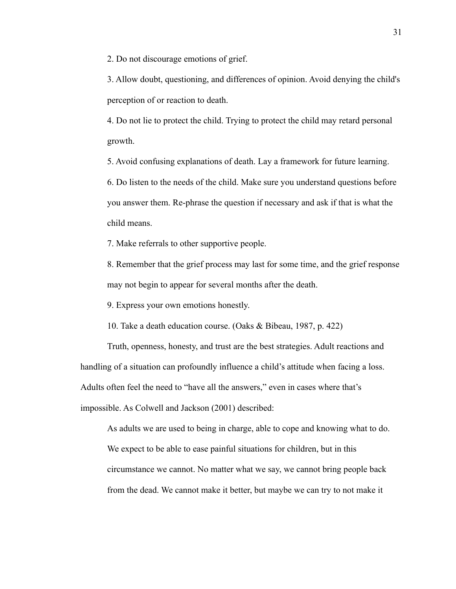2. Do not discourage emotions of grief.

3. Allow doubt, questioning, and differences of opinion. Avoid denying the child's perception of or reaction to death.

4. Do not lie to protect the child. Trying to protect the child may retard personal growth.

5. Avoid confusing explanations of death. Lay a framework for future learning.

6. Do listen to the needs of the child. Make sure you understand questions before you answer them. Re-phrase the question if necessary and ask if that is what the child means.

7. Make referrals to other supportive people.

8. Remember that the grief process may last for some time, and the grief response may not begin to appear for several months after the death.

9. Express your own emotions honestly.

10. Take a death education course. (Oaks & Bibeau, 1987, p. 422)

Truth, openness, honesty, and trust are the best strategies. Adult reactions and handling of a situation can profoundly influence a child's attitude when facing a loss. Adults often feel the need to "have all the answers," even in cases where that's impossible. As Colwell and Jackson (2001) described:

As adults we are used to being in charge, able to cope and knowing what to do. We expect to be able to ease painful situations for children, but in this circumstance we cannot. No matter what we say, we cannot bring people back from the dead. We cannot make it better, but maybe we can try to not make it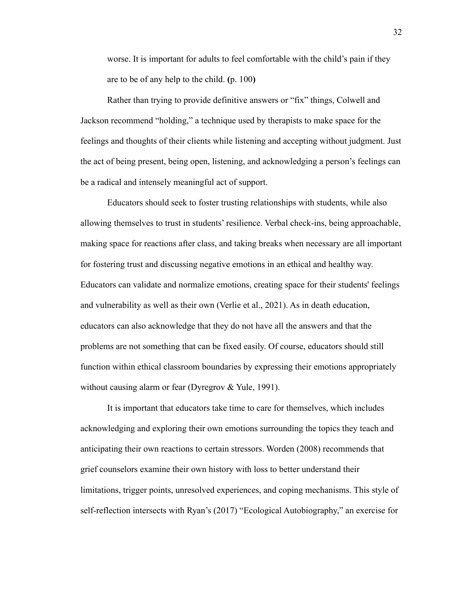worse. It is important for adults to feel comfortable with the child's pain if they are to be of any help to the child. **(**p. 100**)**

Rather than trying to provide definitive answers or "fix" things, Colwell and Jackson recommend "holding," a technique used by therapists to make space for the feelings and thoughts of their clients while listening and accepting without judgment. Just the act of being present, being open, listening, and acknowledging a person's feelings can be a radical and intensely meaningful act of support.

Educators should seek to foster trusting relationships with students, while also allowing themselves to trust in students' resilience. Verbal check-ins, being approachable, making space for reactions after class, and taking breaks when necessary are all important for fostering trust and discussing negative emotions in an ethical and healthy way. Educators can validate and normalize emotions, creating space for their students' feelings and vulnerability as well as their own (Verlie et al., 2021). As in death education, educators can also acknowledge that they do not have all the answers and that the problems are not something that can be fixed easily. Of course, educators should still function within ethical classroom boundaries by expressing their emotions appropriately without causing alarm or fear (Dyregrov & Yule, 1991).

It is important that educators take time to care for themselves, which includes acknowledging and exploring their own emotions surrounding the topics they teach and anticipating their own reactions to certain stressors. Worden (2008) recommends that grief counselors examine their own history with loss to better understand their limitations, trigger points, unresolved experiences, and coping mechanisms. This style of self-reflection intersects with Ryan's (2017) "Ecological Autobiography," an exercise for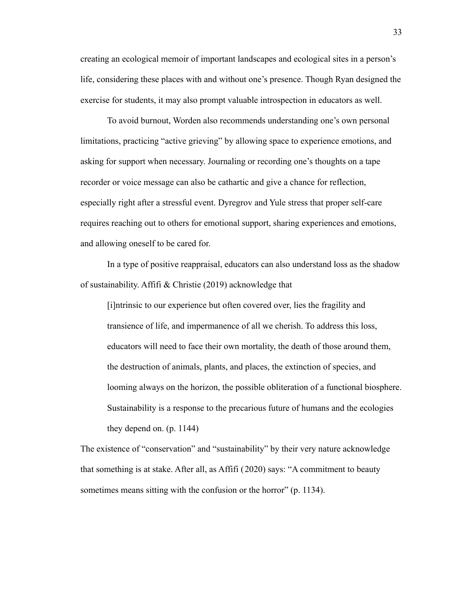creating an ecological memoir of important landscapes and ecological sites in a person's life, considering these places with and without one's presence. Though Ryan designed the exercise for students, it may also prompt valuable introspection in educators as well.

To avoid burnout, Worden also recommends understanding one's own personal limitations, practicing "active grieving" by allowing space to experience emotions, and asking for support when necessary. Journaling or recording one's thoughts on a tape recorder or voice message can also be cathartic and give a chance for reflection, especially right after a stressful event. Dyregrov and Yule stress that proper self-care requires reaching out to others for emotional support, sharing experiences and emotions, and allowing oneself to be cared for.

In a type of positive reappraisal, educators can also understand loss as the shadow of sustainability. Affifi & Christie (2019) acknowledge that

[i]ntrinsic to our experience but often covered over, lies the fragility and transience of life, and impermanence of all we cherish. To address this loss, educators will need to face their own mortality, the death of those around them, the destruction of animals, plants, and places, the extinction of species, and looming always on the horizon, the possible obliteration of a functional biosphere. Sustainability is a response to the precarious future of humans and the ecologies they depend on. (p. 1144)

The existence of "conservation" and "sustainability" by their very nature acknowledge that something is at stake. After all, as Affifi (2020) says: "A commitment to beauty sometimes means sitting with the confusion or the horror" (p. 1134).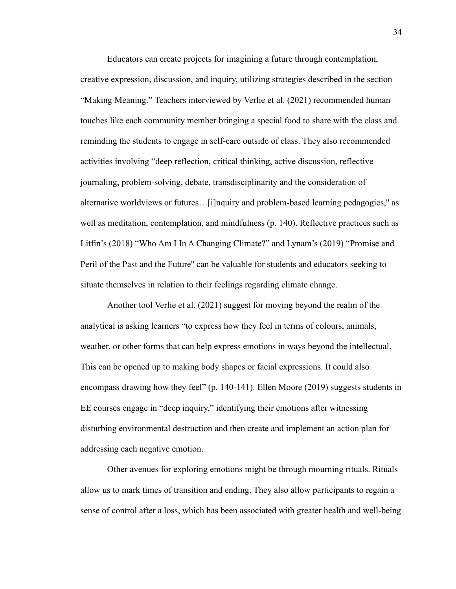Educators can create projects for imagining a future through contemplation, creative expression, discussion, and inquiry, utilizing strategies described in the section "Making Meaning." Teachers interviewed by Verlie et al. (2021) recommended human touches like each community member bringing a special food to share with the class and reminding the students to engage in self-care outside of class. They also recommended activities involving "deep reflection, critical thinking, active discussion, reflective journaling, problem-solving, debate, transdisciplinarity and the consideration of alternative worldviews or futures…[i]nquiry and problem-based learning pedagogies,'' as well as meditation, contemplation, and mindfulness (p. 140). Reflective practices such as Litfin's (2018) "Who Am I In A Changing Climate?" and Lynam's (2019) "Promise and Peril of the Past and the Future'' can be valuable for students and educators seeking to situate themselves in relation to their feelings regarding climate change.

Another tool Verlie et al. (2021) suggest for moving beyond the realm of the analytical is asking learners "to express how they feel in terms of colours, animals, weather, or other forms that can help express emotions in ways beyond the intellectual. This can be opened up to making body shapes or facial expressions. It could also encompass drawing how they feel" (p. 140-141). Ellen Moore (2019) suggests students in EE courses engage in "deep inquiry," identifying their emotions after witnessing disturbing environmental destruction and then create and implement an action plan for addressing each negative emotion.

Other avenues for exploring emotions might be through mourning rituals. Rituals allow us to mark times of transition and ending. They also allow participants to regain a sense of control after a loss, which has been associated with greater health and well-being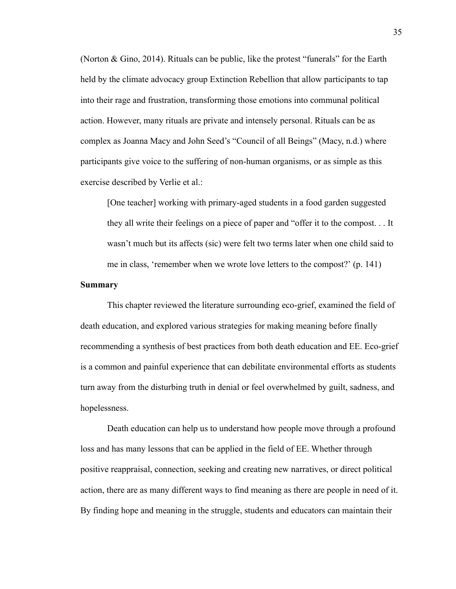(Norton & Gino, 2014). Rituals can be public, like the protest "funerals" for the Earth held by the climate advocacy group Extinction Rebellion that allow participants to tap into their rage and frustration, transforming those emotions into communal political action. However, many rituals are private and intensely personal. Rituals can be as complex as Joanna Macy and John Seed's "Council of all Beings" (Macy, n.d.) where participants give voice to the suffering of non-human organisms, or as simple as this exercise described by Verlie et al.:

[One teacher] working with primary-aged students in a food garden suggested they all write their feelings on a piece of paper and "offer it to the compost. . . It wasn't much but its affects (sic) were felt two terms later when one child said to me in class, 'remember when we wrote love letters to the compost?' (p. 141)

## <span id="page-35-0"></span>**Summary**

This chapter reviewed the literature surrounding eco-grief, examined the field of death education, and explored various strategies for making meaning before finally recommending a synthesis of best practices from both death education and EE. Eco-grief is a common and painful experience that can debilitate environmental efforts as students turn away from the disturbing truth in denial or feel overwhelmed by guilt, sadness, and hopelessness.

Death education can help us to understand how people move through a profound loss and has many lessons that can be applied in the field of EE. Whether through positive reappraisal, connection, seeking and creating new narratives, or direct political action, there are as many different ways to find meaning as there are people in need of it. By finding hope and meaning in the struggle, students and educators can maintain their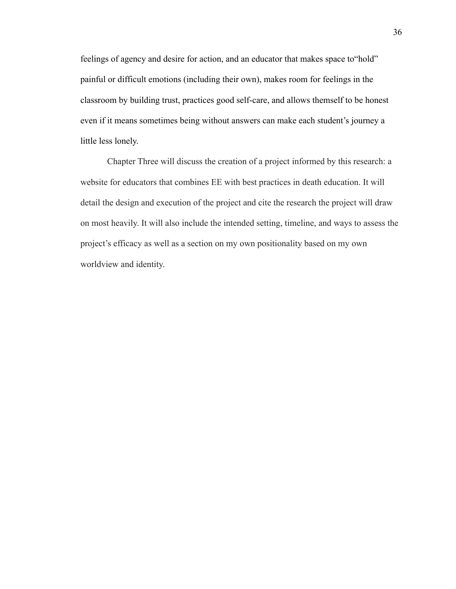feelings of agency and desire for action, and an educator that makes space to"hold" painful or difficult emotions (including their own), makes room for feelings in the classroom by building trust, practices good self-care, and allows themself to be honest even if it means sometimes being without answers can make each student's journey a little less lonely.

Chapter Three will discuss the creation of a project informed by this research: a website for educators that combines EE with best practices in death education. It will detail the design and execution of the project and cite the research the project will draw on most heavily. It will also include the intended setting, timeline, and ways to assess the project's efficacy as well as a section on my own positionality based on my own worldview and identity.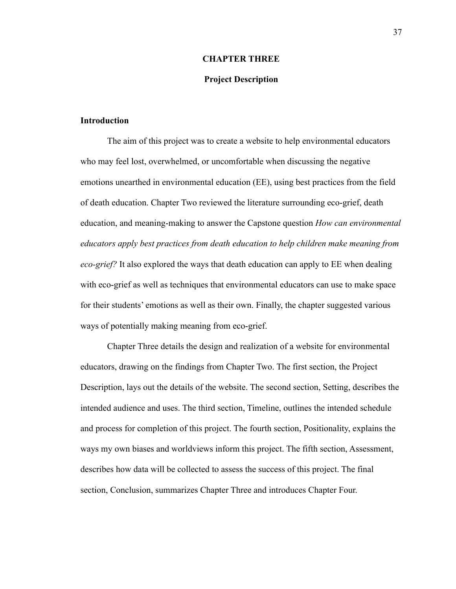#### **CHAPTER THREE**

## **Project Description**

## <span id="page-37-1"></span><span id="page-37-0"></span>**Introduction**

The aim of this project was to create a website to help environmental educators who may feel lost, overwhelmed, or uncomfortable when discussing the negative emotions unearthed in environmental education (EE), using best practices from the field of death education. Chapter Two reviewed the literature surrounding eco-grief, death education, and meaning-making to answer the Capstone question *How can environmental educators apply best practices from death education to help children make meaning from eco-grief?* It also explored the ways that death education can apply to EE when dealing with eco-grief as well as techniques that environmental educators can use to make space for their students' emotions as well as their own. Finally, the chapter suggested various ways of potentially making meaning from eco-grief.

Chapter Three details the design and realization of a website for environmental educators, drawing on the findings from Chapter Two. The first section, the Project Description, lays out the details of the website. The second section, Setting, describes the intended audience and uses. The third section, Timeline, outlines the intended schedule and process for completion of this project. The fourth section, Positionality, explains the ways my own biases and worldviews inform this project. The fifth section, Assessment, describes how data will be collected to assess the success of this project. The final section, Conclusion, summarizes Chapter Three and introduces Chapter Four.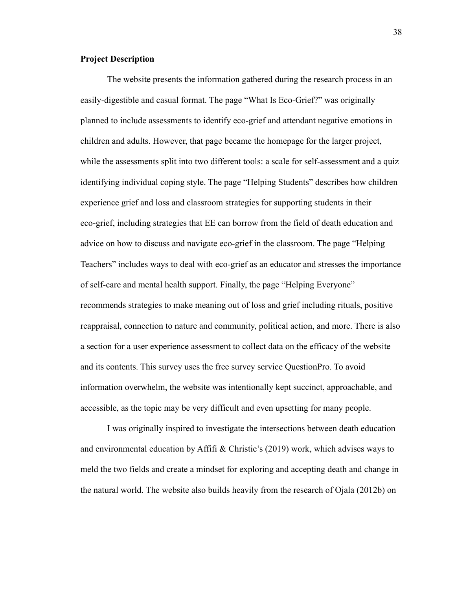# <span id="page-38-0"></span>**Project Description**

The website presents the information gathered during the research process in an easily-digestible and casual format. The page "What Is Eco-Grief?" was originally planned to include assessments to identify eco-grief and attendant negative emotions in children and adults. However, that page became the homepage for the larger project, while the assessments split into two different tools: a scale for self-assessment and a quiz identifying individual coping style. The page "Helping Students" describes how children experience grief and loss and classroom strategies for supporting students in their eco-grief, including strategies that EE can borrow from the field of death education and advice on how to discuss and navigate eco-grief in the classroom. The page "Helping Teachers" includes ways to deal with eco-grief as an educator and stresses the importance of self-care and mental health support. Finally, the page "Helping Everyone" recommends strategies to make meaning out of loss and grief including rituals, positive reappraisal, connection to nature and community, political action, and more. There is also a section for a user experience assessment to collect data on the efficacy of the website and its contents. This survey uses the free survey service QuestionPro. To avoid information overwhelm, the website was intentionally kept succinct, approachable, and accessible, as the topic may be very difficult and even upsetting for many people.

I was originally inspired to investigate the intersections between death education and environmental education by Affifi & Christie's (2019) work, which advises ways to meld the two fields and create a mindset for exploring and accepting death and change in the natural world. The website also builds heavily from the research of Ojala (2012b) on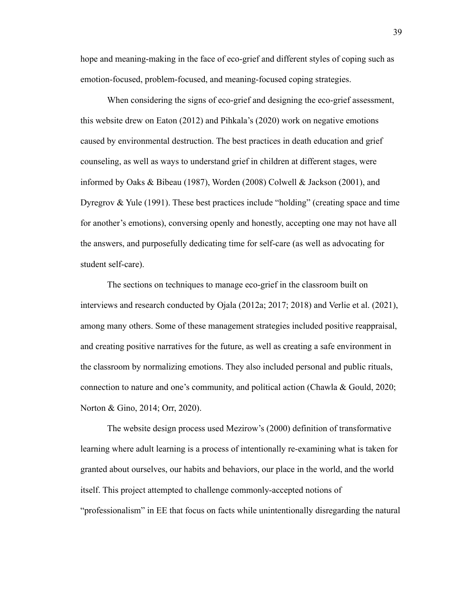hope and meaning-making in the face of eco-grief and different styles of coping such as emotion-focused, problem-focused, and meaning-focused coping strategies.

When considering the signs of eco-grief and designing the eco-grief assessment, this website drew on Eaton (2012) and Pihkala's (2020) work on negative emotions caused by environmental destruction. The best practices in death education and grief counseling, as well as ways to understand grief in children at different stages, were informed by Oaks & Bibeau (1987), Worden (2008) Colwell & Jackson (2001), and Dyregrov  $\&$  Yule (1991). These best practices include "holding" (creating space and time for another's emotions), conversing openly and honestly, accepting one may not have all the answers, and purposefully dedicating time for self-care (as well as advocating for student self-care).

The sections on techniques to manage eco-grief in the classroom built on interviews and research conducted by Ojala (2012a; 2017; 2018) and Verlie et al. (2021), among many others. Some of these management strategies included positive reappraisal, and creating positive narratives for the future, as well as creating a safe environment in the classroom by normalizing emotions. They also included personal and public rituals, connection to nature and one's community, and political action (Chawla & Gould, 2020; Norton & Gino, 2014; Orr, 2020).

The website design process used Mezirow's (2000) definition of transformative learning where adult learning is a process of intentionally re-examining what is taken for granted about ourselves, our habits and behaviors, our place in the world, and the world itself. This project attempted to challenge commonly-accepted notions of "professionalism" in EE that focus on facts while unintentionally disregarding the natural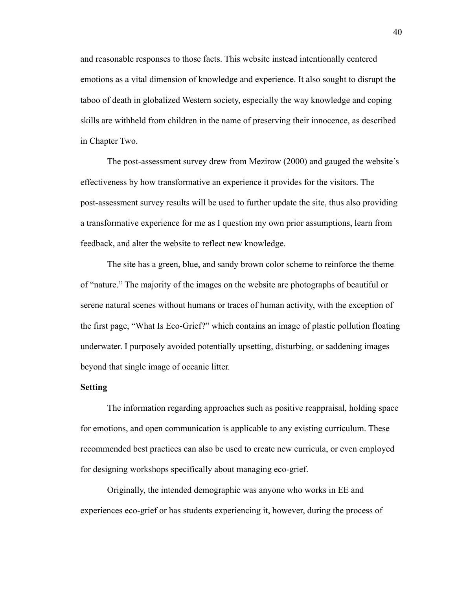and reasonable responses to those facts. This website instead intentionally centered emotions as a vital dimension of knowledge and experience. It also sought to disrupt the taboo of death in globalized Western society, especially the way knowledge and coping skills are withheld from children in the name of preserving their innocence, as described in Chapter Two.

The post-assessment survey drew from Mezirow (2000) and gauged the website's effectiveness by how transformative an experience it provides for the visitors. The post-assessment survey results will be used to further update the site, thus also providing a transformative experience for me as I question my own prior assumptions, learn from feedback, and alter the website to reflect new knowledge.

The site has a green, blue, and sandy brown color scheme to reinforce the theme of "nature." The majority of the images on the website are photographs of beautiful or serene natural scenes without humans or traces of human activity, with the exception of the first page, "What Is Eco-Grief?" which contains an image of plastic pollution floating underwater. I purposely avoided potentially upsetting, disturbing, or saddening images beyond that single image of oceanic litter.

#### <span id="page-40-0"></span>**Setting**

The information regarding approaches such as positive reappraisal, holding space for emotions, and open communication is applicable to any existing curriculum. These recommended best practices can also be used to create new curricula, or even employed for designing workshops specifically about managing eco-grief.

Originally, the intended demographic was anyone who works in EE and experiences eco-grief or has students experiencing it, however, during the process of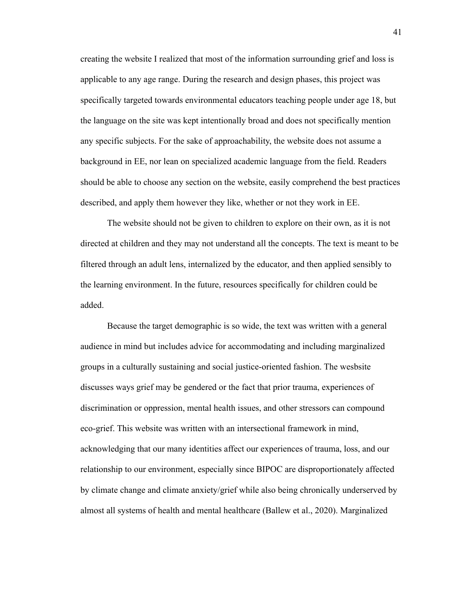creating the website I realized that most of the information surrounding grief and loss is applicable to any age range. During the research and design phases, this project was specifically targeted towards environmental educators teaching people under age 18, but the language on the site was kept intentionally broad and does not specifically mention any specific subjects. For the sake of approachability, the website does not assume a background in EE, nor lean on specialized academic language from the field. Readers should be able to choose any section on the website, easily comprehend the best practices described, and apply them however they like, whether or not they work in EE.

The website should not be given to children to explore on their own, as it is not directed at children and they may not understand all the concepts. The text is meant to be filtered through an adult lens, internalized by the educator, and then applied sensibly to the learning environment. In the future, resources specifically for children could be added.

Because the target demographic is so wide, the text was written with a general audience in mind but includes advice for accommodating and including marginalized groups in a culturally sustaining and social justice-oriented fashion. The wesbsite discusses ways grief may be gendered or the fact that prior trauma, experiences of discrimination or oppression, mental health issues, and other stressors can compound eco-grief. This website was written with an intersectional framework in mind, acknowledging that our many identities affect our experiences of trauma, loss, and our relationship to our environment, especially since BIPOC are disproportionately affected by climate change and climate anxiety/grief while also being chronically underserved by almost all systems of health and mental healthcare (Ballew et al., 2020). Marginalized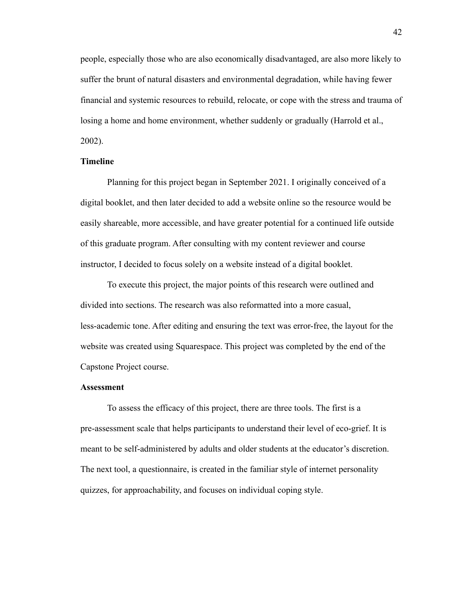people, especially those who are also economically disadvantaged, are also more likely to suffer the brunt of natural disasters and environmental degradation, while having fewer financial and systemic resources to rebuild, relocate, or cope with the stress and trauma of losing a home and home environment, whether suddenly or gradually (Harrold et al., 2002).

#### <span id="page-42-0"></span>**Timeline**

Planning for this project began in September 2021. I originally conceived of a digital booklet, and then later decided to add a website online so the resource would be easily shareable, more accessible, and have greater potential for a continued life outside of this graduate program. After consulting with my content reviewer and course instructor, I decided to focus solely on a website instead of a digital booklet.

To execute this project, the major points of this research were outlined and divided into sections. The research was also reformatted into a more casual, less-academic tone. After editing and ensuring the text was error-free, the layout for the website was created using Squarespace. This project was completed by the end of the Capstone Project course.

#### <span id="page-42-1"></span>**Assessment**

To assess the efficacy of this project, there are three tools. The first is a pre-assessment scale that helps participants to understand their level of eco-grief. It is meant to be self-administered by adults and older students at the educator's discretion. The next tool, a questionnaire, is created in the familiar style of internet personality quizzes, for approachability, and focuses on individual coping style.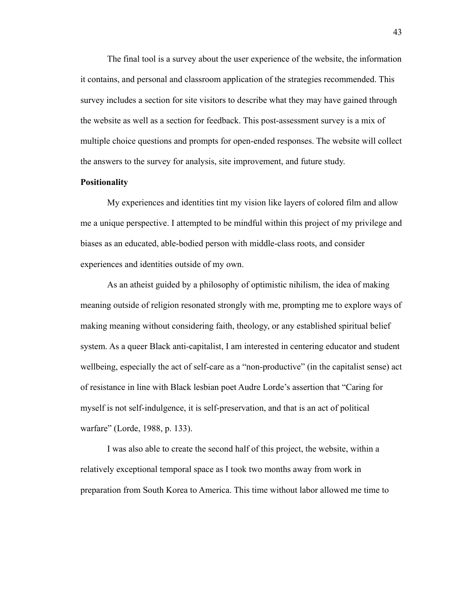The final tool is a survey about the user experience of the website, the information it contains, and personal and classroom application of the strategies recommended. This survey includes a section for site visitors to describe what they may have gained through the website as well as a section for feedback. This post-assessment survey is a mix of multiple choice questions and prompts for open-ended responses. The website will collect the answers to the survey for analysis, site improvement, and future study.

#### <span id="page-43-0"></span>**Positionality**

My experiences and identities tint my vision like layers of colored film and allow me a unique perspective. I attempted to be mindful within this project of my privilege and biases as an educated, able-bodied person with middle-class roots, and consider experiences and identities outside of my own.

As an atheist guided by a philosophy of optimistic nihilism, the idea of making meaning outside of religion resonated strongly with me, prompting me to explore ways of making meaning without considering faith, theology, or any established spiritual belief system. As a queer Black anti-capitalist, I am interested in centering educator and student wellbeing, especially the act of self-care as a "non-productive" (in the capitalist sense) act of resistance in line with Black lesbian poet Audre Lorde's assertion that "Caring for myself is not self-indulgence, it is self-preservation, and that is an act of political warfare" (Lorde, 1988, p. 133).

I was also able to create the second half of this project, the website, within a relatively exceptional temporal space as I took two months away from work in preparation from South Korea to America. This time without labor allowed me time to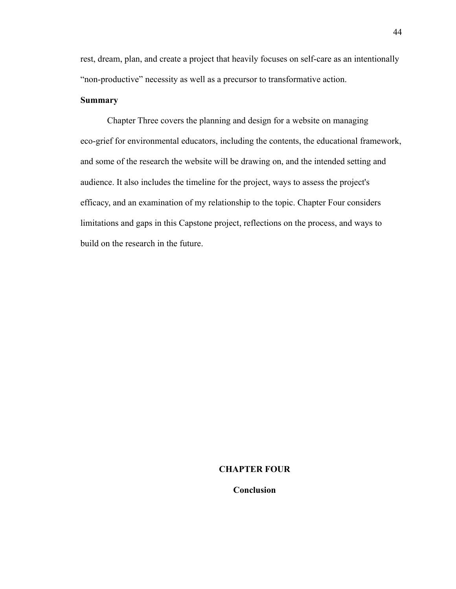rest, dream, plan, and create a project that heavily focuses on self-care as an intentionally "non-productive" necessity as well as a precursor to transformative action.

# <span id="page-44-0"></span>**Summary**

Chapter Three covers the planning and design for a website on managing eco-grief for environmental educators, including the contents, the educational framework, and some of the research the website will be drawing on, and the intended setting and audience. It also includes the timeline for the project, ways to assess the project's efficacy, and an examination of my relationship to the topic. Chapter Four considers limitations and gaps in this Capstone project, reflections on the process, and ways to build on the research in the future.

#### <span id="page-44-1"></span>**CHAPTER FOUR**

#### **Conclusion**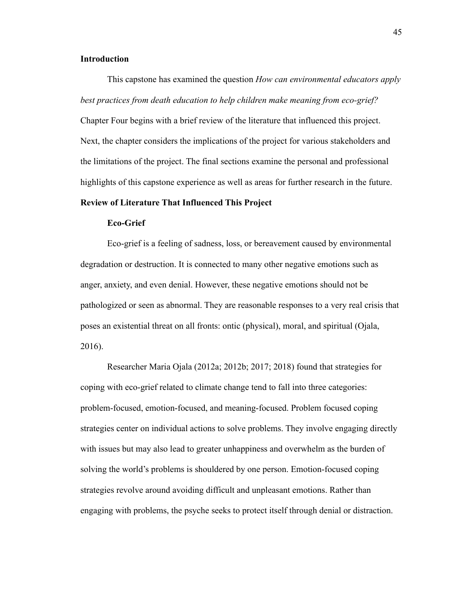# <span id="page-45-0"></span>**Introduction**

This capstone has examined the question *How can environmental educators apply best practices from death education to help children make meaning from eco-grief?* Chapter Four begins with a brief review of the literature that influenced this project. Next, the chapter considers the implications of the project for various stakeholders and the limitations of the project. The final sections examine the personal and professional highlights of this capstone experience as well as areas for further research in the future.

## <span id="page-45-1"></span>**Review of Literature That Influenced This Project**

## **Eco-Grief**

Eco-grief is a feeling of sadness, loss, or bereavement caused by environmental degradation or destruction. It is connected to many other negative emotions such as anger, anxiety, and even denial. However, these negative emotions should not be pathologized or seen as abnormal. They are reasonable responses to a very real crisis that poses an existential threat on all fronts: ontic (physical), moral, and spiritual (Ojala, 2016).

Researcher Maria Ojala (2012a; 2012b; 2017; 2018) found that strategies for coping with eco-grief related to climate change tend to fall into three categories: problem-focused, emotion-focused, and meaning-focused. Problem focused coping strategies center on individual actions to solve problems. They involve engaging directly with issues but may also lead to greater unhappiness and overwhelm as the burden of solving the world's problems is shouldered by one person. Emotion-focused coping strategies revolve around avoiding difficult and unpleasant emotions. Rather than engaging with problems, the psyche seeks to protect itself through denial or distraction.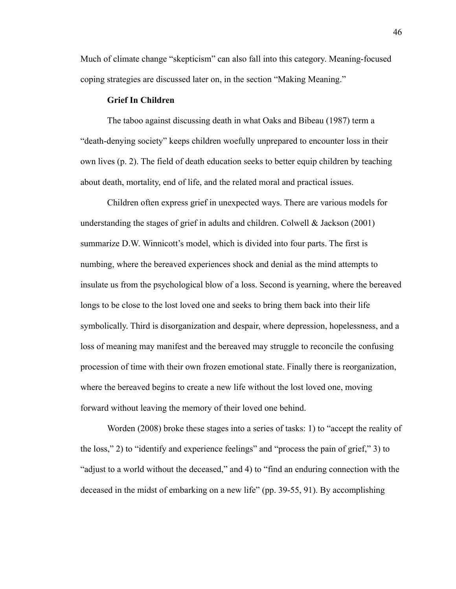Much of climate change "skepticism" can also fall into this category. Meaning-focused coping strategies are discussed later on, in the section "Making Meaning."

## **Grief In Children**

The taboo against discussing death in what Oaks and Bibeau (1987) term a "death-denying society" keeps children woefully unprepared to encounter loss in their own lives (p. 2). The field of death education seeks to better equip children by teaching about death, mortality, end of life, and the related moral and practical issues.

Children often express grief in unexpected ways. There are various models for understanding the stages of grief in adults and children. Colwell & Jackson (2001) summarize D.W. Winnicott's model, which is divided into four parts. The first is numbing, where the bereaved experiences shock and denial as the mind attempts to insulate us from the psychological blow of a loss. Second is yearning, where the bereaved longs to be close to the lost loved one and seeks to bring them back into their life symbolically. Third is disorganization and despair, where depression, hopelessness, and a loss of meaning may manifest and the bereaved may struggle to reconcile the confusing procession of time with their own frozen emotional state. Finally there is reorganization, where the bereaved begins to create a new life without the lost loved one, moving forward without leaving the memory of their loved one behind.

Worden (2008) broke these stages into a series of tasks: 1) to "accept the reality of the loss," 2) to "identify and experience feelings" and "process the pain of grief," 3) to "adjust to a world without the deceased," and 4) to "find an enduring connection with the deceased in the midst of embarking on a new life" (pp. 39-55, 91). By accomplishing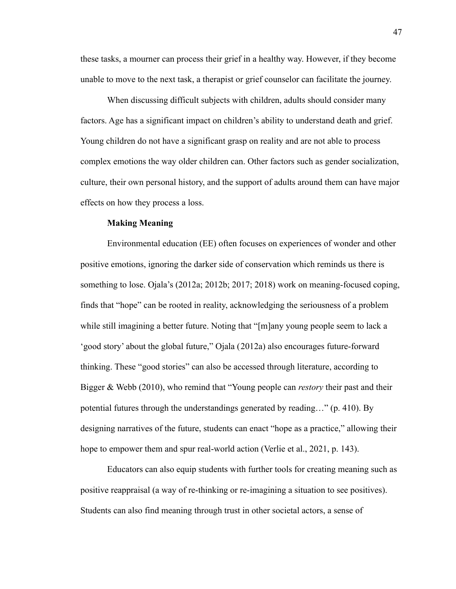these tasks, a mourner can process their grief in a healthy way. However, if they become unable to move to the next task, a therapist or grief counselor can facilitate the journey.

When discussing difficult subjects with children, adults should consider many factors. Age has a significant impact on children's ability to understand death and grief. Young children do not have a significant grasp on reality and are not able to process complex emotions the way older children can. Other factors such as gender socialization, culture, their own personal history, and the support of adults around them can have major effects on how they process a loss.

## **Making Meaning**

Environmental education (EE) often focuses on experiences of wonder and other positive emotions, ignoring the darker side of conservation which reminds us there is something to lose. Ojala's (2012a; 2012b; 2017; 2018) work on meaning-focused coping, finds that "hope" can be rooted in reality, acknowledging the seriousness of a problem while still imagining a better future. Noting that "[m]any young people seem to lack a 'good story' about the global future," Ojala (2012a) also encourages future-forward thinking. These "good stories" can also be accessed through literature, according to Bigger & Webb (2010), who remind that "Young people can *restory* their past and their potential futures through the understandings generated by reading…" (p. 410). By designing narratives of the future, students can enact "hope as a practice," allowing their hope to empower them and spur real-world action (Verlie et al., 2021, p. 143).

Educators can also equip students with further tools for creating meaning such as positive reappraisal (a way of re-thinking or re-imagining a situation to see positives). Students can also find meaning through trust in other societal actors, a sense of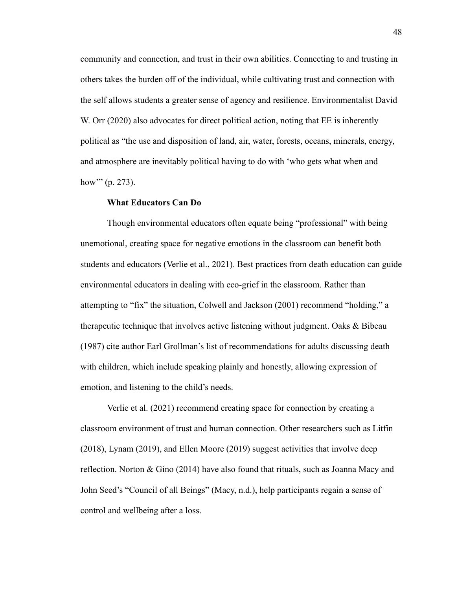community and connection, and trust in their own abilities. Connecting to and trusting in others takes the burden off of the individual, while cultivating trust and connection with the self allows students a greater sense of agency and resilience. Environmentalist David W. Orr (2020) also advocates for direct political action, noting that EE is inherently political as "the use and disposition of land, air, water, forests, oceans, minerals, energy, and atmosphere are inevitably political having to do with 'who gets what when and how" (p. 273).

#### **What Educators Can Do**

Though environmental educators often equate being "professional" with being unemotional, creating space for negative emotions in the classroom can benefit both students and educators (Verlie et al., 2021). Best practices from death education can guide environmental educators in dealing with eco-grief in the classroom. Rather than attempting to "fix" the situation, Colwell and Jackson (2001) recommend "holding," a therapeutic technique that involves active listening without judgment. Oaks & Bibeau (1987) cite author Earl Grollman's list of recommendations for adults discussing death with children, which include speaking plainly and honestly, allowing expression of emotion, and listening to the child's needs.

Verlie et al. (2021) recommend creating space for connection by creating a classroom environment of trust and human connection. Other researchers such as Litfin (2018), Lynam (2019), and Ellen Moore (2019) suggest activities that involve deep reflection. Norton & Gino (2014) have also found that rituals, such as Joanna Macy and John Seed's "Council of all Beings" (Macy, n.d.), help participants regain a sense of control and wellbeing after a loss.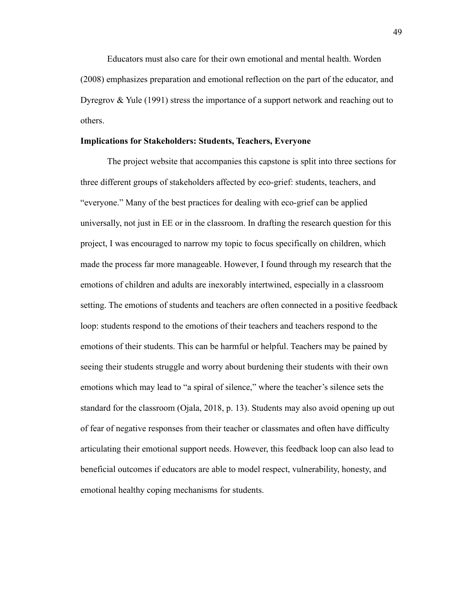Educators must also care for their own emotional and mental health. Worden (2008) emphasizes preparation and emotional reflection on the part of the educator, and Dyregrov & Yule (1991) stress the importance of a support network and reaching out to others.

#### <span id="page-49-0"></span>**Implications for Stakeholders: Students, Teachers, Everyone**

The project website that accompanies this capstone is split into three sections for three different groups of stakeholders affected by eco-grief: students, teachers, and "everyone." Many of the best practices for dealing with eco-grief can be applied universally, not just in EE or in the classroom. In drafting the research question for this project, I was encouraged to narrow my topic to focus specifically on children, which made the process far more manageable. However, I found through my research that the emotions of children and adults are inexorably intertwined, especially in a classroom setting. The emotions of students and teachers are often connected in a positive feedback loop: students respond to the emotions of their teachers and teachers respond to the emotions of their students. This can be harmful or helpful. Teachers may be pained by seeing their students struggle and worry about burdening their students with their own emotions which may lead to "a spiral of silence," where the teacher's silence sets the standard for the classroom (Ojala, 2018, p. 13). Students may also avoid opening up out of fear of negative responses from their teacher or classmates and often have difficulty articulating their emotional support needs. However, this feedback loop can also lead to beneficial outcomes if educators are able to model respect, vulnerability, honesty, and emotional healthy coping mechanisms for students.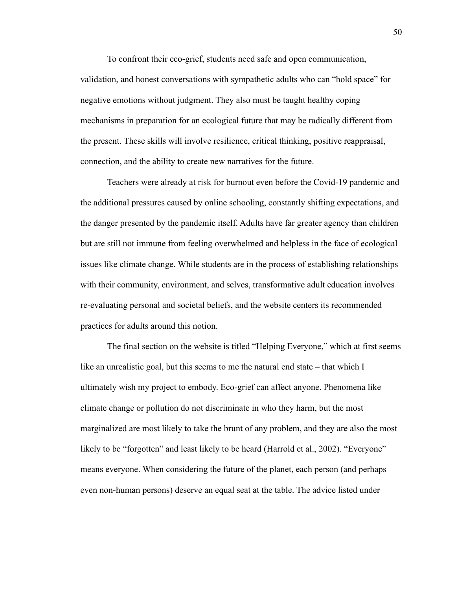To confront their eco-grief, students need safe and open communication, validation, and honest conversations with sympathetic adults who can "hold space" for negative emotions without judgment. They also must be taught healthy coping mechanisms in preparation for an ecological future that may be radically different from the present. These skills will involve resilience, critical thinking, positive reappraisal, connection, and the ability to create new narratives for the future.

Teachers were already at risk for burnout even before the Covid-19 pandemic and the additional pressures caused by online schooling, constantly shifting expectations, and the danger presented by the pandemic itself. Adults have far greater agency than children but are still not immune from feeling overwhelmed and helpless in the face of ecological issues like climate change. While students are in the process of establishing relationships with their community, environment, and selves, transformative adult education involves re-evaluating personal and societal beliefs, and the website centers its recommended practices for adults around this notion.

The final section on the website is titled "Helping Everyone," which at first seems like an unrealistic goal, but this seems to me the natural end state – that which I ultimately wish my project to embody. Eco-grief can affect anyone. Phenomena like climate change or pollution do not discriminate in who they harm, but the most marginalized are most likely to take the brunt of any problem, and they are also the most likely to be "forgotten" and least likely to be heard (Harrold et al., 2002). "Everyone" means everyone. When considering the future of the planet, each person (and perhaps even non-human persons) deserve an equal seat at the table. The advice listed under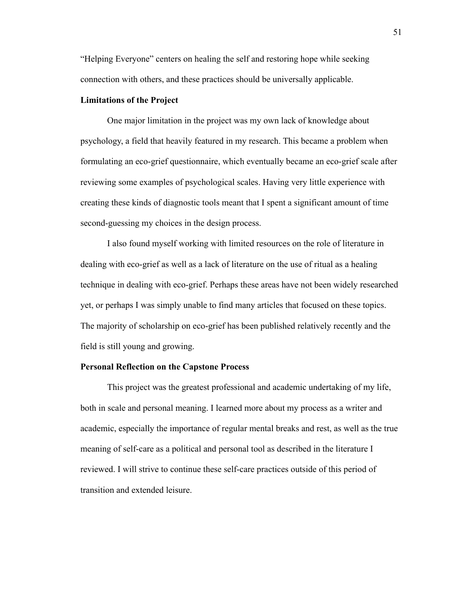"Helping Everyone" centers on healing the self and restoring hope while seeking connection with others, and these practices should be universally applicable.

## <span id="page-51-0"></span>**Limitations of the Project**

One major limitation in the project was my own lack of knowledge about psychology, a field that heavily featured in my research. This became a problem when formulating an eco-grief questionnaire, which eventually became an eco-grief scale after reviewing some examples of psychological scales. Having very little experience with creating these kinds of diagnostic tools meant that I spent a significant amount of time second-guessing my choices in the design process.

I also found myself working with limited resources on the role of literature in dealing with eco-grief as well as a lack of literature on the use of ritual as a healing technique in dealing with eco-grief. Perhaps these areas have not been widely researched yet, or perhaps I was simply unable to find many articles that focused on these topics. The majority of scholarship on eco-grief has been published relatively recently and the field is still young and growing.

# <span id="page-51-1"></span>**Personal Reflection on the Capstone Process**

This project was the greatest professional and academic undertaking of my life, both in scale and personal meaning. I learned more about my process as a writer and academic, especially the importance of regular mental breaks and rest, as well as the true meaning of self-care as a political and personal tool as described in the literature I reviewed. I will strive to continue these self-care practices outside of this period of transition and extended leisure.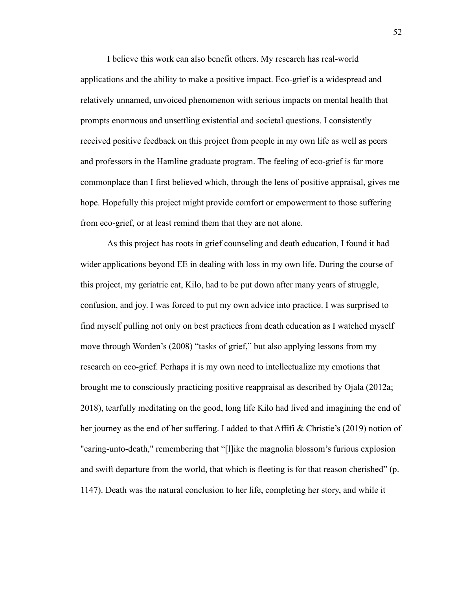I believe this work can also benefit others. My research has real-world applications and the ability to make a positive impact. Eco-grief is a widespread and relatively unnamed, unvoiced phenomenon with serious impacts on mental health that prompts enormous and unsettling existential and societal questions. I consistently received positive feedback on this project from people in my own life as well as peers and professors in the Hamline graduate program. The feeling of eco-grief is far more commonplace than I first believed which, through the lens of positive appraisal, gives me hope. Hopefully this project might provide comfort or empowerment to those suffering from eco-grief, or at least remind them that they are not alone.

As this project has roots in grief counseling and death education, I found it had wider applications beyond EE in dealing with loss in my own life. During the course of this project, my geriatric cat, Kilo, had to be put down after many years of struggle, confusion, and joy. I was forced to put my own advice into practice. I was surprised to find myself pulling not only on best practices from death education as I watched myself move through Worden's (2008) "tasks of grief," but also applying lessons from my research on eco-grief. Perhaps it is my own need to intellectualize my emotions that brought me to consciously practicing positive reappraisal as described by Ojala (2012a; 2018), tearfully meditating on the good, long life Kilo had lived and imagining the end of her journey as the end of her suffering. I added to that Affifi & Christie's (2019) notion of "caring-unto-death," remembering that "[l]ike the magnolia blossom's furious explosion and swift departure from the world, that which is fleeting is for that reason cherished" (p. 1147). Death was the natural conclusion to her life, completing her story, and while it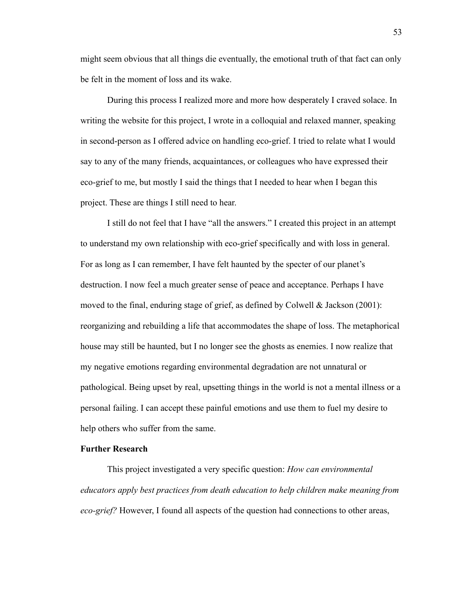might seem obvious that all things die eventually, the emotional truth of that fact can only be felt in the moment of loss and its wake.

During this process I realized more and more how desperately I craved solace. In writing the website for this project, I wrote in a colloquial and relaxed manner, speaking in second-person as I offered advice on handling eco-grief. I tried to relate what I would say to any of the many friends, acquaintances, or colleagues who have expressed their eco-grief to me, but mostly I said the things that I needed to hear when I began this project. These are things I still need to hear.

I still do not feel that I have "all the answers." I created this project in an attempt to understand my own relationship with eco-grief specifically and with loss in general. For as long as I can remember, I have felt haunted by the specter of our planet's destruction. I now feel a much greater sense of peace and acceptance. Perhaps I have moved to the final, enduring stage of grief, as defined by Colwell & Jackson (2001): reorganizing and rebuilding a life that accommodates the shape of loss. The metaphorical house may still be haunted, but I no longer see the ghosts as enemies. I now realize that my negative emotions regarding environmental degradation are not unnatural or pathological. Being upset by real, upsetting things in the world is not a mental illness or a personal failing. I can accept these painful emotions and use them to fuel my desire to help others who suffer from the same.

# <span id="page-53-0"></span>**Further Research**

This project investigated a very specific question: *How can environmental educators apply best practices from death education to help children make meaning from eco-grief?* However, I found all aspects of the question had connections to other areas,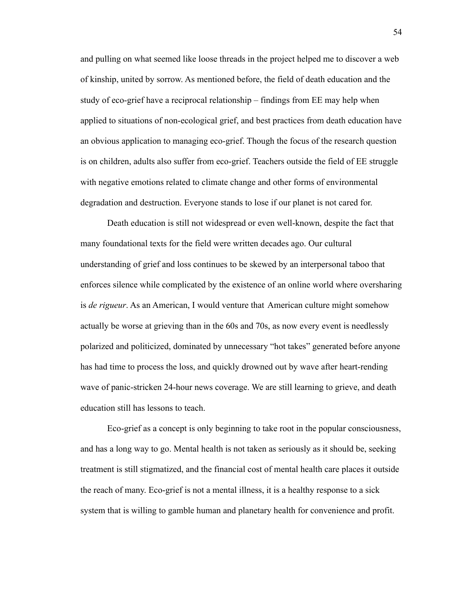and pulling on what seemed like loose threads in the project helped me to discover a web of kinship, united by sorrow. As mentioned before, the field of death education and the study of eco-grief have a reciprocal relationship – findings from EE may help when applied to situations of non-ecological grief, and best practices from death education have an obvious application to managing eco-grief. Though the focus of the research question is on children, adults also suffer from eco-grief. Teachers outside the field of EE struggle with negative emotions related to climate change and other forms of environmental degradation and destruction. Everyone stands to lose if our planet is not cared for.

Death education is still not widespread or even well-known, despite the fact that many foundational texts for the field were written decades ago. Our cultural understanding of grief and loss continues to be skewed by an interpersonal taboo that enforces silence while complicated by the existence of an online world where oversharing is *de rigueur*. As an American, I would venture that American culture might somehow actually be worse at grieving than in the 60s and 70s, as now every event is needlessly polarized and politicized, dominated by unnecessary "hot takes" generated before anyone has had time to process the loss, and quickly drowned out by wave after heart-rending wave of panic-stricken 24-hour news coverage. We are still learning to grieve, and death education still has lessons to teach.

Eco-grief as a concept is only beginning to take root in the popular consciousness, and has a long way to go. Mental health is not taken as seriously as it should be, seeking treatment is still stigmatized, and the financial cost of mental health care places it outside the reach of many. Eco-grief is not a mental illness, it is a healthy response to a sick system that is willing to gamble human and planetary health for convenience and profit.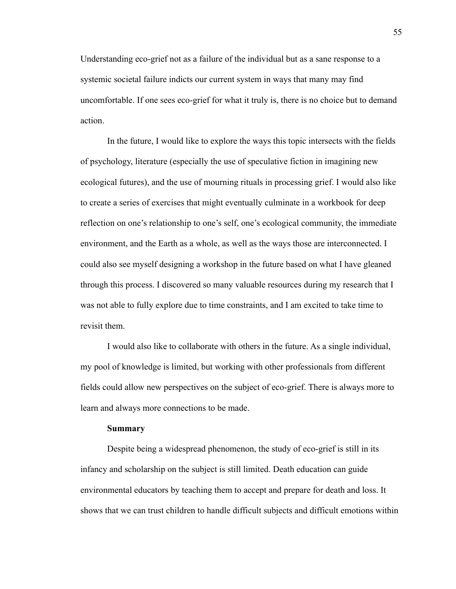Understanding eco-grief not as a failure of the individual but as a sane response to a systemic societal failure indicts our current system in ways that many may find uncomfortable. If one sees eco-grief for what it truly is, there is no choice but to demand action.

In the future, I would like to explore the ways this topic intersects with the fields of psychology, literature (especially the use of speculative fiction in imagining new ecological futures), and the use of mourning rituals in processing grief. I would also like to create a series of exercises that might eventually culminate in a workbook for deep reflection on one's relationship to one's self, one's ecological community, the immediate environment, and the Earth as a whole, as well as the ways those are interconnected. I could also see myself designing a workshop in the future based on what I have gleaned through this process. I discovered so many valuable resources during my research that I was not able to fully explore due to time constraints, and I am excited to take time to revisit them.

I would also like to collaborate with others in the future. As a single individual, my pool of knowledge is limited, but working with other professionals from different fields could allow new perspectives on the subject of eco-grief. There is always more to learn and always more connections to be made.

#### **Summary**

<span id="page-55-0"></span>Despite being a widespread phenomenon, the study of eco-grief is still in its infancy and scholarship on the subject is still limited. Death education can guide environmental educators by teaching them to accept and prepare for death and loss. It shows that we can trust children to handle difficult subjects and difficult emotions within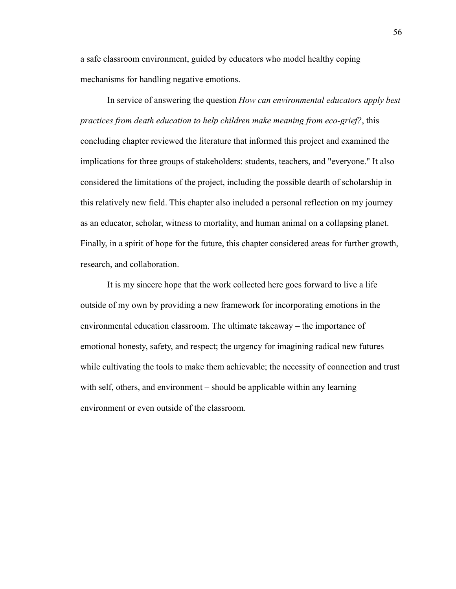a safe classroom environment, guided by educators who model healthy coping mechanisms for handling negative emotions.

In service of answering the question *How can environmental educators apply best practices from death education to help children make meaning from eco-grief?*, this concluding chapter reviewed the literature that informed this project and examined the implications for three groups of stakeholders: students, teachers, and "everyone." It also considered the limitations of the project, including the possible dearth of scholarship in this relatively new field. This chapter also included a personal reflection on my journey as an educator, scholar, witness to mortality, and human animal on a collapsing planet. Finally, in a spirit of hope for the future, this chapter considered areas for further growth, research, and collaboration.

It is my sincere hope that the work collected here goes forward to live a life outside of my own by providing a new framework for incorporating emotions in the environmental education classroom. The ultimate takeaway – the importance of emotional honesty, safety, and respect; the urgency for imagining radical new futures while cultivating the tools to make them achievable; the necessity of connection and trust with self, others, and environment – should be applicable within any learning environment or even outside of the classroom.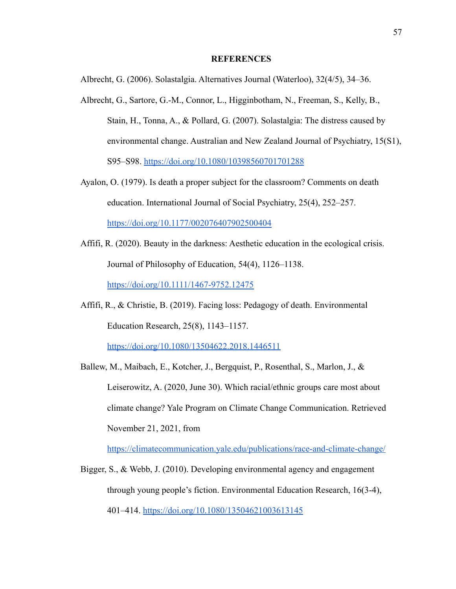#### **REFERENCES**

<span id="page-57-0"></span>Albrecht, G. (2006). Solastalgia. Alternatives Journal (Waterloo), 32(4/5), 34–36.

- Albrecht, G., Sartore, G.-M., Connor, L., Higginbotham, N., Freeman, S., Kelly, B., Stain, H., Tonna, A., & Pollard, G. (2007). Solastalgia: The distress caused by environmental change. Australian and New Zealand Journal of Psychiatry, 15(S1), S95–S98. <https://doi.org/10.1080/10398560701701288>
- Ayalon, O. (1979). Is death a proper subject for the classroom? Comments on death education. International Journal of Social Psychiatry, 25(4), 252–257. <https://doi.org/10.1177/002076407902500404>
- Affifi, R. (2020). Beauty in the darkness: Aesthetic education in the ecological crisis. Journal of Philosophy of Education, 54(4), 1126–1138. <https://doi.org/10.1111/1467-9752.12475>
- Affifi, R., & Christie, B. (2019). Facing loss: Pedagogy of death. Environmental Education Research, 25(8), 1143–1157.

<https://doi.org/10.1080/13504622.2018.1446511>

Ballew, M., Maibach, E., Kotcher, J., Bergquist, P., Rosenthal, S., Marlon, J., & Leiserowitz, A. (2020, June 30). Which racial/ethnic groups care most about climate change? Yale Program on Climate Change Communication. Retrieved November 21, 2021, from

<https://climatecommunication.yale.edu/publications/race-and-climate-change/>

Bigger, S., & Webb, J. (2010). Developing environmental agency and engagement through young people's fiction. Environmental Education Research, 16(3-4), 401–414. <https://doi.org/10.1080/13504621003613145>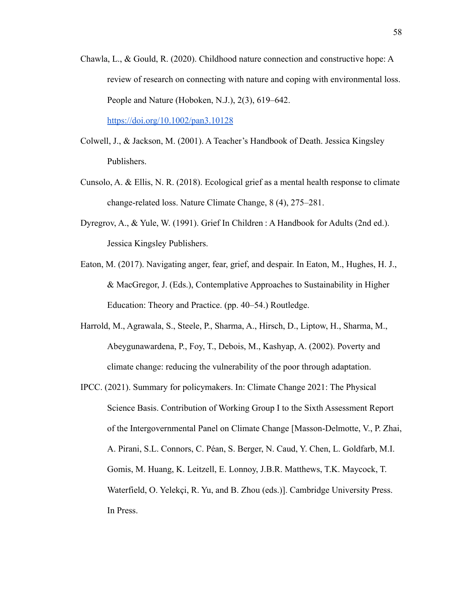Chawla, L., & Gould, R. (2020). Childhood nature connection and constructive hope: A review of research on connecting with nature and coping with environmental loss. People and Nature (Hoboken, N.J.), 2(3), 619–642.

<https://doi.org/10.1002/pan3.10128>

- Colwell, J., & Jackson, M. (2001). A Teacher's Handbook of Death. Jessica Kingsley Publishers.
- Cunsolo, A. & Ellis, N. R. (2018). Ecological grief as a mental health response to climate change-related loss. Nature Climate Change, 8 (4), 275–281.
- Dyregrov, A., & Yule, W. (1991). Grief In Children : A Handbook for Adults (2nd ed.). Jessica Kingsley Publishers.
- Eaton, M. (2017). Navigating anger, fear, grief, and despair. In Eaton, M., Hughes, H. J., & MacGregor, J. (Eds.), Contemplative Approaches to Sustainability in Higher Education: Theory and Practice. (pp. 40–54.) Routledge.
- Harrold, M., Agrawala, S., Steele, P., Sharma, A., Hirsch, D., Liptow, H., Sharma, M., Abeygunawardena, P., Foy, T., Debois, M., Kashyap, A. (2002). Poverty and climate change: reducing the vulnerability of the poor through adaptation.
- IPCC. (2021). Summary for policymakers. In: Climate Change 2021: The Physical Science Basis. Contribution of Working Group I to the Sixth Assessment Report of the Intergovernmental Panel on Climate Change [Masson-Delmotte, V., P. Zhai, A. Pirani, S.L. Connors, C. Péan, S. Berger, N. Caud, Y. Chen, L. Goldfarb, M.I. Gomis, M. Huang, K. Leitzell, E. Lonnoy, J.B.R. Matthews, T.K. Maycock, T. Waterfield, O. Yelekçi, R. Yu, and B. Zhou (eds.)]. Cambridge University Press. In Press.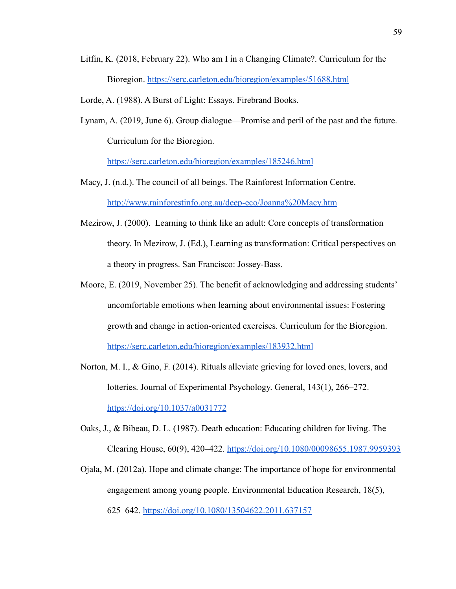- Litfin, K. (2018, February 22). Who am I in a Changing Climate?. Curriculum for the Bioregion. <https://serc.carleton.edu/bioregion/examples/51688.html>
- Lorde, A. (1988). A Burst of Light: Essays. Firebrand Books.
- Lynam, A. (2019, June 6). Group dialogue—Promise and peril of the past and the future. Curriculum for the Bioregion.

<https://serc.carleton.edu/bioregion/examples/185246.html>

- Macy, J. (n.d.). The council of all beings. The Rainforest Information Centre. <http://www.rainforestinfo.org.au/deep-eco/Joanna%20Macy.htm>
- Mezirow, J. (2000). Learning to think like an adult: Core concepts of transformation theory. In Mezirow, J. (Ed.), Learning as transformation: Critical perspectives on a theory in progress. San Francisco: Jossey-Bass.
- Moore, E. (2019, November 25). The benefit of acknowledging and addressing students' uncomfortable emotions when learning about environmental issues: Fostering growth and change in action-oriented exercises. Curriculum for the Bioregion. <https://serc.carleton.edu/bioregion/examples/183932.html>
- Norton, M. I., & Gino, F. (2014). Rituals alleviate grieving for loved ones, lovers, and lotteries. Journal of Experimental Psychology. General, 143(1), 266–272. <https://doi.org/10.1037/a0031772>
- Oaks, J., & Bibeau, D. L. (1987). Death education: Educating children for living. The Clearing House, 60(9), 420–422. <https://doi.org/10.1080/00098655.1987.9959393>
- Ojala, M. (2012a). Hope and climate change: The importance of hope for environmental engagement among young people. Environmental Education Research, 18(5), 625–642. <https://doi.org/10.1080/13504622.2011.637157>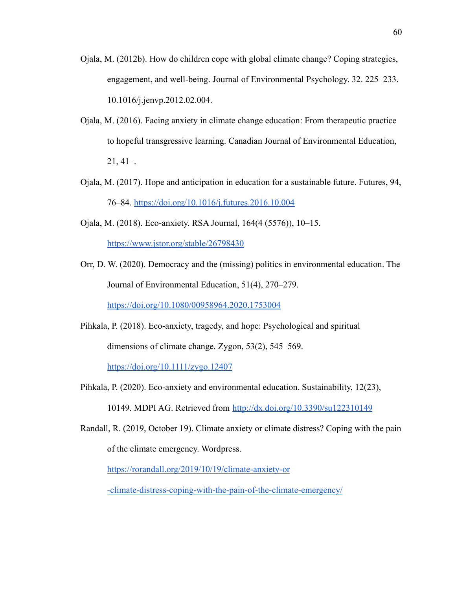- Ojala, M. (2012b). How do children cope with global climate change? Coping strategies, engagement, and well-being. Journal of Environmental Psychology. 32. 225–233. 10.1016/j.jenvp.2012.02.004.
- Ojala, M. (2016). Facing anxiety in climate change education: From therapeutic practice to hopeful transgressive learning. Canadian Journal of Environmental Education, 21, 41–.
- Ojala, M. (2017). Hope and anticipation in education for a sustainable future. Futures, 94, 76–84. <https://doi.org/10.1016/j.futures.2016.10.004>
- Ojala, M. (2018). Eco-anxiety. RSA Journal, 164(4 (5576)), 10–15.

<https://www.jstor.org/stable/26798430>

Orr, D. W. (2020). Democracy and the (missing) politics in environmental education. The Journal of Environmental Education, 51(4), 270–279.

<https://doi.org/10.1080/00958964.2020.1753004>

Pihkala, P. (2018). Eco-anxiety, tragedy, and hope: Psychological and spiritual dimensions of climate change. Zygon, 53(2), 545–569.

<https://doi.org/10.1111/zygo.12407>

- Pihkala, P. (2020). Eco-anxiety and environmental education. Sustainability, 12(23), 10149. MDPI AG. Retrieved from <http://dx.doi.org/10.3390/su122310149>
- Randall, R. (2019, October 19). Climate anxiety or climate distress? Coping with the pain of the climate emergency. Wordpress.

<https://rorandall.org/2019/10/19/climate-anxiety-or>

[-climate-distress-coping-with-the-pain-of-the-climate-emergency/](https://rorandall.org/2019/10/19/climate-anxiety-or)